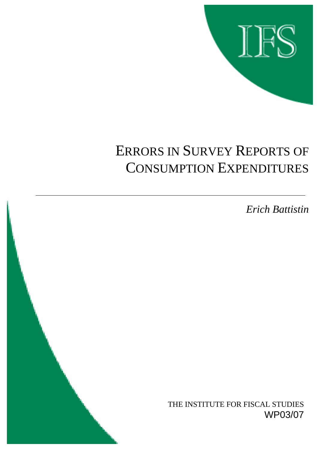

# ERRORS IN SURVEY REPORTS OF CONSUMPTION EXPENDITURES

*Erich Battistin*

THE INSTITUTE FOR FISCAL STUDIES WP03/07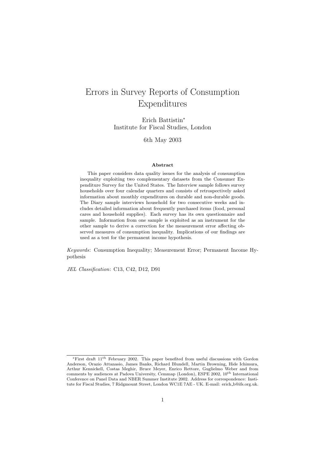## Errors in Survey Reports of Consumption Expenditures

Erich Battistin<sup>∗</sup> Institute for Fiscal Studies, London

6th May 2003

#### **Abstract**

This paper considers data quality issues for the analysis of consumption inequality exploiting two complementary datasets from the Consumer Expenditure Survey for the United States. The Interview sample follows survey households over four calendar quarters and consists of retrospectively asked information about monthly expenditures on durable and non-durable goods. The Diary sample interviews household for two consecutive weeks and includes detailed information about frequently purchased items (food, personal cares and household supplies). Each survey has its own questionnaire and sample. Information from one sample is exploited as an instrument for the other sample to derive a correction for the measurement error affecting observed measures of consumption inequality. Implications of our findings are used as a test for the permanent income hypothesis.

*Keywords*: Consumption Inequality; Measurement Error; Permanent Income Hypothesis

*JEL Classification*: C13, C42, D12, D91

<sup>∗</sup>First draft 11th February 2002. This paper benefited from useful discussions with Gordon Anderson, Orazio Attanasio, James Banks, Richard Blundell, Martin Browning, Hide Ichimura, Arthur Kennickell, Costas Meghir, Bruce Meyer, Enrico Rettore, Guglielmo Weber and from comments by audiences at Padova University, Cemmap (London), ESPE 2002, 10<sup>th</sup> International Conference on Panel Data and NBER Summer Institute 2002. Address for correspondence: Institute for Fiscal Studies, 7 Ridgmount Street, London WC1E 7AE - UK. E-mail: erich b@ifs.org.uk.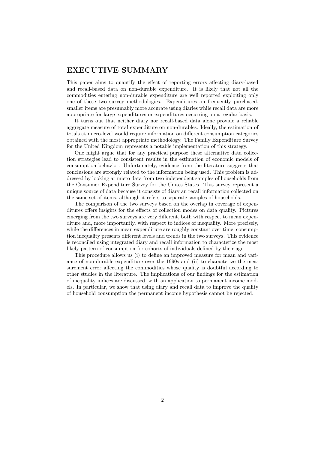## **EXECUTIVE SUMMARY**

This paper aims to quantify the effect of reporting errors affecting diary-based and recall-based data on non-durable expenditure. It is likely that not all the commodities entering non-durable expenditure are well reported exploiting only one of these two survey methodologies. Expenditures on frequently purchased, smaller items are presumably more accurate using diaries while recall data are more appropriate for large expenditures or expenditures occurring on a regular basis.

It turns out that neither diary nor recall-based data alone provide a reliable aggregate measure of total expenditure on non-durables. Ideally, the estimation of totals at micro-level would require information on different consumption categories obtained with the most appropriate methodology. The Family Expenditure Survey for the United Kingdom represents a notable implementation of this strategy.

One might argue that for any practical purpose these alternative data collection strategies lead to consistent results in the estimation of economic models of consumption behavior. Unfortunately, evidence from the literature suggests that conclusions are strongly related to the information being used. This problem is addressed by looking at micro data from two independent samples of households from the Consumer Expenditure Survey for the Unites States. This survey represent a unique source of data because it consists of diary an recall information collected on the same set of items, although it refers to separate samples of households.

The comparison of the two surveys based on the overlap in coverage of expenditures offers insights for the effects of collection modes on data quality. Pictures emerging from the two surveys are very different, both with respect to mean expenditure and, more importantly, with respect to indices of inequality. More precisely, while the differences in mean expenditure are roughly constant over time, consumption inequality presents different levels and trends in the two surveys. This evidence is reconciled using integrated diary and recall information to characterize the most likely pattern of consumption for cohorts of individuals defined by their age.

This procedure allows us (i) to define an improved measure for mean and variance of non-durable expenditure over the 1990s and (ii) to characterize the measurement error affecting the commodities whose quality is doubtful according to other studies in the literature. The implications of our findings for the estimation of inequality indices are discussed, with an application to permanent income models. In particular, we show that using diary and recall data to improve the quality of household consumption the permanent income hypothesis cannot be rejected.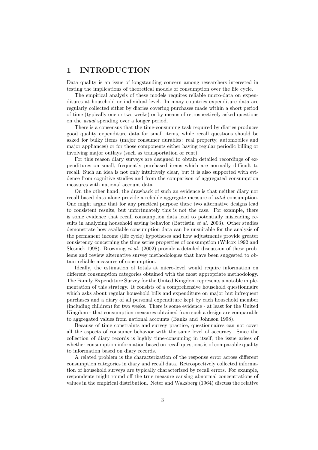## **1 INTRODUCTION**

Data quality is an issue of longstanding concern among researchers interested in testing the implications of theoretical models of consumption over the life cycle.

The empirical analysis of these models requires reliable micro-data on expenditures at household or individual level. In many countries expenditure data are regularly collected either by diaries covering purchases made within a short period of time (typically one or two weeks) or by means of retrospectively asked questions on the *usual* spending over a longer period.

There is a consensus that the time-consuming task required by diaries produces good quality expenditure data for small items, while recall questions should be asked for bulky items (major consumer durables: real property, automobiles and major appliances) or for those components either having regular periodic billing or involving major outlays (such as transportation or rent).

For this reason diary surveys are designed to obtain detailed recordings of expenditures on small, frequently purchased items which are normally difficult to recall. Such an idea is not only intuitively clear, but it is also supported with evidence from cognitive studies and from the comparison of aggregated consumption measures with national account data.

On the other hand, the drawback of such an evidence is that neither diary nor recall based data alone provide a reliable aggregate measure of *total* consumption. One might argue that for any practical purpose these two alternative designs lead to consistent results, but unfortunately this is not the case. For example, there is some evidence that recall consumption data lead to potentially misleading results in analyzing household saving behavior (Battistin *et al.* 2003). Other studies demonstrate how available consumption data can be unsuitable for the analysis of the permanent income (life cycle) hypotheses and how adjustments provide greater consistency concerning the time series properties of consumption (Wilcox 1992 and Slesnick 1998). Browning *et al.* (2002) provide a detailed discussion of these problems and review alternative survey methodologies that have been suggested to obtain reliable measures of consumption.

Ideally, the estimation of totals at micro-level would require information on different consumption categories obtained with the most appropriate methodology. The Family Expenditure Survey for the United Kingdom represents a notable implementation of this strategy. It consists of a comprehensive household questionnaire which asks about regular household bills and expenditure on major but infrequent purchases and a diary of all personal expenditure kept by each household member (including children) for two weeks. There is some evidence - at least for the United Kingdom - that consumption measures obtained from such a design are comparable to aggregated values from national accounts (Banks and Johnson 1998).

Because of time constraints and survey practice, questionnaires can not cover all the aspects of consumer behavior with the same level of accuracy. Since the collection of diary records is highly time-consuming in itself, the issue arises of whether consumption information based on recall questions is of comparable quality to information based on diary records.

A related problem is the characterization of the response error across different consumption categories in diary and recall data. Retrospectively collected information of household surveys are typically characterized by recall errors. For example, respondents might round off the true measure causing abnormal concentrations of values in the empirical distribution. Neter and Waksberg (1964) discuss the relative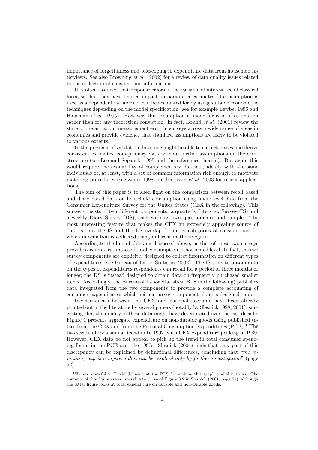importance of forgetfulness and telescoping in expenditure data from household interviews. See also Browning *et al.* (2002) for a review of data quality issues related to the collection of consumption information.

It is often assumed that response errors in the variable of interest are of classical form, so that they have limited impact on parameter estimates (if consumption is used as a dependent variable) or can be accounted for by using suitable econometric techniques depending on the model specification (see for example Lewbel 1996 and Hausman *et al.* 1995). However, this assumption is made for ease of estimation rather than for any theoretical conviction. In fact, Bound *et al.* (2001) review the state of the art about measurement error in surveys across a wide range of areas in economics and provide evidence that standard assumptions are likely to be violated to various extents.

In the presence of validation data, one might be able to correct biases and derive consistent estimates from primary data without further assumptions on the error structure (see Lee and Sepanski 1995 and the references therein). But again this would require the availability of complementary datasets, ideally with the same individuals or, at least, with a set of common information rich enough to motivate matching procedures (see Ziliak 1998 and Battistin *et al.* 2003 for recent applications).

The aim of this paper is to shed light on the comparison between recall based and diary based data on household consumption using micro-level data from the Consumer Expenditure Survey for the Unites States (CEX in the following). This survey consists of two different components: a quarterly Interview Survey (IS) and a weekly Diary Survey (DS), each with its own questionnaire and sample. The most interesting feature that makes the CEX an extremely appealing source of data is that the IS and the DS overlap for many categories of consumption for which information is collected using different methodologies.

According to the line of thinking discussed above, neither of these two surveys provides accurate estimates of total consumption at household level. In fact, the two survey components are explicitly designed to collect information on different types of expenditures (see Bureau of Labor Statistics 2002). The IS aims to obtain data on the types of expenditures respondents can recall for a period of three months or longer; the DS is instead designed to obtain data on frequently purchased smaller items. Accordingly, the Bureau of Labor Statistics (BLS in the following) publishes data integrated from the two components to provide a complete accounting of consumer expenditures, which neither survey component alone is designed to do.

Inconsistencies between the CEX and national accounts have been already pointed out in the literature by several papers (notably by Slesnick 1998, 2001), suggesting that the quality of these data might have deteriorated over the last decade. Figure 1 presents aggregate expenditure on non-durable goods using published tables from the CEX and from the Personal Consumption Expenditures  $(PCE).$ <sup>1</sup> The two series follow a similar trend until 1992, with CEX expenditure peaking in 1989. However, CEX data do not appear to pick up the trend in total consumer spending found in the PCE over the 1990s. Slesnick (2001) finds that only part of this discrepancy can be explained by definitional differences, concluding that "*the remaining gap is a mystery that can be resolved only by further investigation*" (page 52).

<sup>1</sup>We are grateful to David Johnson at the BLS for making this graph available to us. The contents of this figure are comparable to those of Figure 3.2 in Slesnick (2001; page 51), although the latter figure looks at total expenditure on durable and non-durable goods.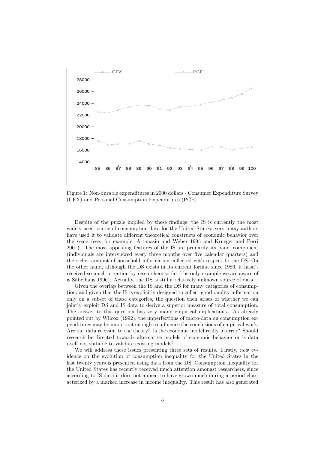

Figure 1: Non-durable expenditures in 2000 dollars - Consumer Expenditure Survey (CEX) and Personal Consumption Expenditures (PCE)

Despite of the puzzle implied by these findings, the IS is currently the most widely used source of consumption data for the United States: very many authors have used it to validate different theoretical constructs of economic behavior over the years (see, for example, Attanasio and Weber 1995 and Krueger and Perri 2001). The most appealing features of the IS are primarily its panel component (individuals are interviewed every three months over five calendar quarters) and the richer amount of household information collected with respect to the DS. On the other hand, although the DS exists in its current format since 1986, it hasn't received so much attention by researchers so far (the only example we are aware of is Sabelhaus 1996). Actually, the DS is still a relatively unknown source of data.

Given the overlap between the IS and the DS for many categories of consumption, and given that the IS is explicitly designed to collect good quality information only on a subset of these categories, the question then arises of whether we can jointly exploit DS and IS data to derive a superior measure of total consumption. The answer to this question has very many empirical implications. As already pointed out by Wilcox (1992), the imperfections of micro-data on consumption expenditures may be important enough to influence the conclusions of empirical work. Are our data relevant to the theory? Is the economic model really in error? Should research be directed towards alternative models of economic behavior or is data itself not suitable to validate existing models?

We will address these issues presenting three sets of results. Firstly, *new* evidence on the evolution of consumption inequality for the United States in the last twenty years is presented using data from the DS. Consumption inequality for the United States has recently received much attention amongst researchers, since according to IS data it does not appear to have grown much during a period characterized by a marked increase in income inequality. This result has also generated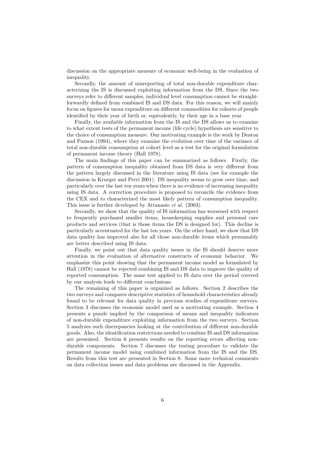discussion on the appropriate measure of economic well-being in the evaluation of inequality.

Secondly, the amount of misreporting of total non-durable expenditure characterizing the IS is discussed exploiting information from the DS. Since the two surveys refer to different samples, individual level consumption cannot be straightforwardly defined from combined IS and DS data. For this reason, we will mainly focus on figures for mean expenditure on different commodities for cohorts of people identified by their year of birth or, equivalently, by their age in a base year.

Finally, the available information from the IS and the DS allows us to examine to what extent tests of the permanent income (life cycle) hypothesis are sensitive to the choice of consumption measure. Our motivating example is the work by Deaton and Paxson (1994), where they examine the evolution over time of the variance of total non-durable consumption at cohort level as a test for the original formulation of permanent income theory (Hall 1978).

The main findings of this paper can be summarized as follows. Firstly, the pattern of consumption inequality obtained from DS data is very different from the pattern largely discussed in the literature using IS data (see for example the discussion in Krueger and Perri 2001). DS inequality seems to grow over time, and particularly over the last ten years when there is no evidence of increasing inequality using IS data. A correction procedure is proposed to reconcile the evidence from the CEX and to characterized the most likely pattern of consumption inequality. This issue is further developed by Attanasio *et al.* (2003).

Secondly, we show that the quality of IS information has worsened with respect to frequently purchased smaller items, housekeeping supplies and personal care products and services (that is those items the DS is designed for). This decline is particularly accentuated for the last ten years. On the other hand, we show that DS data quality has improved also for all those non-durable items which presumably are better described using IS data.

Finally, we point out that data quality issues in the IS should deserve more attention in the evaluation of alternative constructs of economic behavior. We emphasize this point showing that the permanent income model as formulated by Hall (1978) cannot be rejected combining IS and DS data to improve the quality of reported consumption. The same test applied to IS data over the period covered by our analysis leads to different conclusions.

The remaining of this paper is organized as follows. Section 2 describes the two surveys and compares descriptive statistics of household characteristics already found to be relevant for data quality in previous studies of expenditure surveys. Section 3 discusses the economic model used as a motivating example. Section 4 presents a puzzle implied by the comparison of means and inequality indicators of non-durable expenditure exploiting information from the two surveys. Section 5 analyzes such discrepancies looking at the contribution of different non-durable goods. Also, the identification restrictions needed to combine IS and DS information are presented. Section 6 presents results on the reporting errors affecting nondurable components. Section 7 discusses the testing procedure to validate the permanent income model using combined information from the IS and the DS. Results from this test are presented in Section 8. Some more technical comments on data collection issues and data problems are discussed in the Appendix.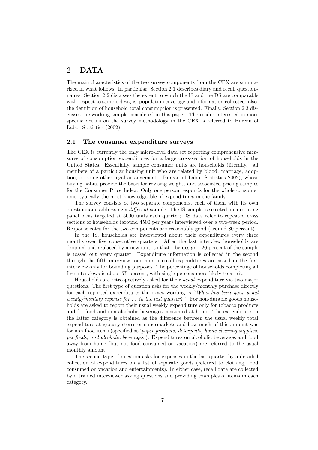## **2 DATA**

The main characteristics of the two survey components from the CEX are summarized in what follows. In particular, Section 2.1 describes diary and recall questionnaires. Section 2.2 discusses the extent to which the IS and the DS are comparable with respect to sample designs, population coverage and information collected; also, the definition of household total consumption is presented. Finally, Section 2.3 discusses the working sample considered in this paper. The reader interested in more specific details on the survey methodology in the CEX is referred to Bureau of Labor Statistics (2002).

#### **2.1 The consumer expenditure surveys**

The CEX is currently the only micro-level data set reporting comprehensive measures of consumption expenditures for a large cross-section of households in the United States. Essentially, sample consumer units are households (literally, "all members of a particular housing unit who are related by blood, marriage, adoption, or some other legal arrangement", Bureau of Labor Statistics 2002), whose buying habits provide the basis for revising weights and associated pricing samples for the Consumer Price Index. Only one person responds for the whole consumer unit, typically the most knowledgeable of expenditures in the family.

The survey consists of two separate components, each of them with its own questionnaire addressing a *different* sample. The IS sample is selected on a rotating panel basis targeted at 5000 units each quarter; DS data refer to repeated cross sections of households (around 4500 per year) interviewed over a two-week period. Response rates for the two components are reasonably good (around 80 percent).

In the IS, households are interviewed about their expenditures every three months over five consecutive quarters. After the last interview households are dropped and replaced by a new unit, so that - by design - 20 percent of the sample is tossed out every quarter. Expenditure information is collected in the second through the fifth interview; one month recall expenditures are asked in the first interview only for bounding purposes. The percentage of households completing all five interviews is about 75 percent, with single persons more likely to attrit.

Households are retrospectively asked for their *usual* expenditure via two major questions. The first type of question asks for the weekly/monthly purchase directly for each reported expenditure; the exact wording is "*What has been your usual weekly/monthly expense for ... in the last quarter?*". For non-durable goods households are asked to report their usual weekly expenditure only for tobacco products and for food and non-alcoholic beverages consumed at home. The expenditure on the latter category is obtained as the difference between the usual weekly total expenditure at grocery stores or supermarkets and how much of this amount was for non-food items (specified as '*paper products, detergents, home cleaning supplies, pet foods, and alcoholic beverages*'). Expenditures on alcoholic beverages and food away from home (but not food consumed on vacation) are referred to the usual monthly amount.

The second type of question asks for expenses in the last quarter by a detailed collection of expenditures on a list of separate goods (referred to clothing, food consumed on vacation and entertainments). In either case, recall data are collected by a trained interviewer asking questions and providing examples of items in each category.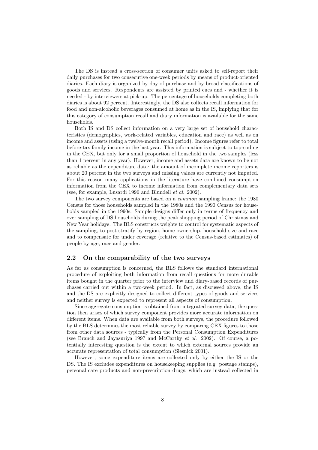The DS is instead a cross-section of consumer units asked to self-report their daily purchases for two consecutive one-week periods by means of product-oriented diaries. Each diary is organized by day of purchase and by broad classifications of goods and services. Respondents are assisted by printed cues and - whether it is needed - by interviewers at pick-up. The percentage of households completing both diaries is about 92 percent. Interestingly, the DS also collects recall information for food and non-alcoholic beverages consumed at home as in the IS, implying that for this category of consumption recall and diary information is available for the same households.

Both IS and DS collect information on a very large set of household characteristics (demographics, work-related variables, education and race) as well as on income and assets (using a twelve-month recall period). Income figures refer to total before-tax family income in the last year. This information is subject to top-coding in the CEX, but only for a small proportion of household in the two samples (less than 1 percent in any year). However, income and assets data are known to be not as reliable as the expenditure data: the amount of incomplete income reporters is about 20 percent in the two surveys and missing values are currently not imputed. For this reason many applications in the literature have combined consumption information from the CEX to income information from complementary data sets (see, for example, Lusardi 1996 and Blundell *et al.* 2002).

The two survey components are based on a *common* sampling frame: the 1980 Census for those households sampled in the 1980s and the 1990 Census for households sampled in the 1990s. Sample designs differ only in terms of frequency and over sampling of DS households during the peak shopping period of Christmas and New Year holidays. The BLS constructs weights to control for systematic aspects of the sampling, to post-stratify by region, home ownership, household size and race and to compensate for under coverage (relative to the Census-based estimates) of people by age, race and gender.

#### **2.2 On the comparability of the two surveys**

As far as consumption is concerned, the BLS follows the standard international procedure of exploiting both information from recall questions for more durable items bought in the quarter prior to the interview and diary-based records of purchases carried out within a two-week period. In fact, as discussed above, the IS and the DS are explicitly designed to collect different types of goods and services and neither survey is expected to represent all aspects of consumption.

Since aggregate consumption is obtained from integrated survey data, the question then arises of which survey component provides more accurate information on different items. When data are available from both surveys, the procedure followed by the BLS determines the most reliable survey by comparing CEX figures to those from other data sources - typically from the Personal Consumption Expenditures (see Branch and Jayasuriya 1997 and McCarthy *et al.* 2002). Of course, a potentially interesting question is the extent to which external sources provide an accurate representation of total consumption (Slesnick 2001).

However, some expenditure items are collected only by either the IS or the DS. The IS excludes expenditures on housekeeping supplies (e.g. postage stamps), personal care products and non-prescription drugs, which are instead collected in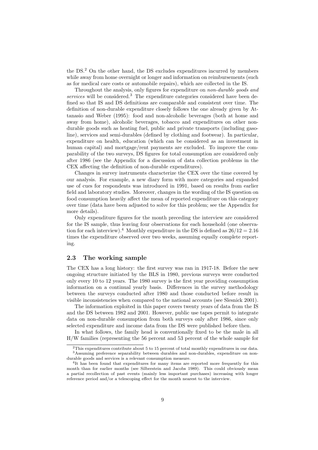the DS.<sup>2</sup> On the other hand, the DS excludes expenditures incurred by members while away from home overnight or longer and information on reimbursements (such as for medical care costs or automobile repairs), which are collected in the IS.

Throughout the analysis, only figures for expenditure on *non-durable goods and services* will be considered.<sup>3</sup> The expenditure categories considered have been defined so that IS and DS definitions are comparable and consistent over time. The definition of non-durable expenditure closely follows the one already given by Attanasio and Weber (1995): food and non-alcoholic beverages (both at home and away from home), alcoholic beverages, tobacco and expenditures on other nondurable goods such as heating fuel, public and private transports (including gasoline), services and semi-durables (defined by clothing and footwear). In particular, expenditure on health, education (which can be considered as an investment in human capital) and mortgage/rent payments are excluded. To improve the comparability of the two surveys, DS figures for total consumption are considered only after 1986 (see the Appendix for a discussion of data collection problems in the CEX affecting the definition of non-durable expenditures).

Changes in survey instruments characterize the CEX over the time covered by our analysis. For example, a new diary form with more categories and expanded use of cues for respondents was introduced in 1991, based on results from earlier field and laboratory studies. Moreover, changes in the wording of the IS question on food consumption heavily affect the mean of reported expenditure on this category over time (data have been adjusted to solve for this problem; see the Appendix for more details).

Only expenditure figures for the month preceding the interview are considered for the IS sample, thus leaving four observations for each household (one observation for each interview).<sup>4</sup> Monthly expenditure in the DS is defined as  $26/12 = 2.16$ times the expenditure observed over two weeks, assuming equally complete reporting.

#### **2.3 The working sample**

The CEX has a long history: the first survey was ran in 1917-18. Before the new ongoing structure initiated by the BLS in 1980, previous surveys were conducted only every 10 to 12 years. The 1980 survey is the first year providing consumption information on a continual yearly basis. Differences in the survey methodology between the surveys conducted after 1980 and those conducted before result in visible inconsistencies when compared to the national accounts (see Slesnick 2001).

The information exploited in this paper covers twenty years of data from the IS and the DS between 1982 and 2001. However, public use tapes permit to integrate data on non-durable consumption from both surveys only after 1986, since only selected expenditure and income data from the DS were published before then.

In what follows, the family head is conventionally fixed to be the male in all H/W families (representing the 56 percent and 53 percent of the whole sample for

 $^{2}$ This expenditures contribute about 5 to 15 percent of total monthly expenditures in our data. <sup>3</sup>Assuming preference separability between durables and non-durables, expenditure on nondurable goods and services is a relevant consumption measure.

<sup>&</sup>lt;sup>4</sup>It has been found that expenditures for many items are reported more frequently for this month than for earlier months (see Silberstein and Jacobs 1989). This could obviously mean a partial recollection of past events (mainly less important purchases) increasing with longer reference period and/or a telescoping effect for the month nearest to the interview.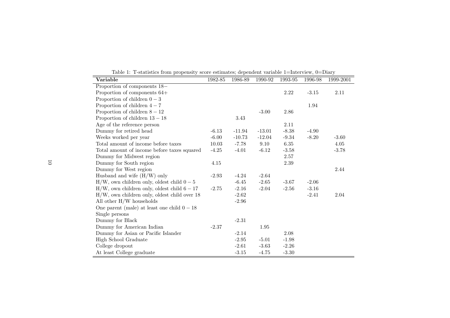| Variable                                        | 1982-85 | 1986-89  | 1990-92  | 1993-95 | 1996-98 | 1999-2001 |
|-------------------------------------------------|---------|----------|----------|---------|---------|-----------|
| Proportion of components 18-                    |         |          |          |         |         |           |
| Proportion of components 64+                    |         |          |          | 2.22    | $-3.15$ | 2.11      |
| Proportion of children $0-3$                    |         |          |          |         |         |           |
| Proportion of children $4-7$                    |         |          |          |         | 1.94    |           |
| Proportion of children $8-12$                   |         |          | $-3.00$  | 2.86    |         |           |
| Proportion of children $13-18$                  |         | 3.43     |          |         |         |           |
| Age of the reference person                     |         |          |          | 2.11    |         |           |
| Dummy for retired head                          | $-6.13$ | $-11.94$ | $-13.01$ | $-8.38$ | $-4.90$ |           |
| Weeks worked per year                           | $-6.00$ | $-10.73$ | $-12.04$ | $-9.34$ | $-8.20$ | $-3.60$   |
| Total amount of income before taxes             | 10.03   | $-7.78$  | 9.10     | 6.35    |         | 4.05      |
| Total amount of income before taxes squared     | $-4.25$ | $-4.01$  | $-6.12$  | $-3.58$ |         | $-3.78$   |
| Dummy for Midwest region                        |         |          |          | 2.57    |         |           |
| Dummy for South region                          | 4.15    |          |          | 2.39    |         |           |
| Dummy for West region                           |         |          |          |         |         | 2.44      |
| Husband and wife $(H/W)$ only                   | $-2.93$ | $-4.24$  | $-2.64$  |         |         |           |
| $H/W$ , own children only, oldest child $0-5$   |         | $-6.45$  | $-2.65$  | $-3.67$ | $-2.06$ |           |
| $H/W$ , own children only, oldest child $6-17$  | $-2.75$ | $-2.16$  | $-2.04$  | $-2.56$ | $-3.16$ |           |
| $H/W$ , own children only, oldest child over 18 |         | $-2.62$  |          |         | $-2.41$ | 2.04      |
| All other $H/W$ households                      |         | $-2.96$  |          |         |         |           |
| One parent (male) at least one child $0-18$     |         |          |          |         |         |           |
| Single persons                                  |         |          |          |         |         |           |
| Dummy for Black                                 |         | $-2.31$  |          |         |         |           |
| Dummy for American Indian                       | $-2.37$ |          | 1.95     |         |         |           |
| Dummy for Asian or Pacific Islander             |         | $-2.14$  |          | 2.08    |         |           |
| High School Graduate                            |         | $-2.95$  | $-5.01$  | $-1.98$ |         |           |
| College dropout                                 |         | $-2.61$  | $-3.63$  | $-2.26$ |         |           |
| At least College graduate                       |         | $-3.15$  | $-4.75$  | $-3.30$ |         |           |

Table 1: T-statistics from propensity score estimates; dependent variable 1=Interview, 0=Diary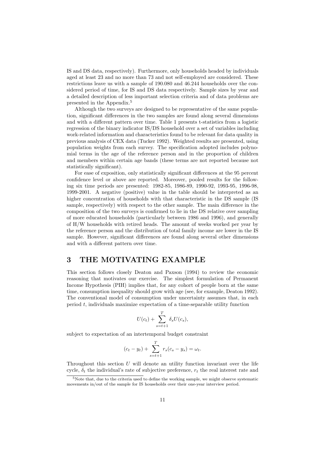IS and DS data, respectively). Furthermore, only households headed by individuals aged at least 23 and no more than 73 and not self-employed are considered. These restrictions leave us with a sample of 190.080 and 46.244 households over the considered period of time, for IS and DS data respectively. Sample sizes by year and a detailed description of less important selection criteria and of data problems are presented in the Appendix.<sup>5</sup>

Although the two surveys are designed to be representative of the same population, significant differences in the two samples are found along several dimensions and with a different pattern over time. Table 1 presents t-statistics from a logistic regression of the binary indicator IS/DS household over a set of variables including work-related information and characteristics found to be relevant for data quality in previous analysis of CEX data (Tucker 1992). Weighted results are presented, using population weights from each survey. The specification adopted includes polynomial terms in the age of the reference person and in the proportion of children and members within certain age bands (these terms are not reported because not statistically significant).

For ease of exposition, only statistically significant differences at the 95 percent confidence level or above are reported. Moreover, pooled results for the following six time periods are presented: 1982-85, 1986-89, 1990-92, 1993-95, 1996-98, 1999-2001. A negative (positive) value in the table should be interpreted as an higher concentration of households with that characteristic in the DS sample (IS sample, respectively) with respect to the other sample. The main difference in the composition of the two surveys is confirmed to lie in the DS relative over sampling of more educated households (particularly between 1986 and 1996), and generally of H/W households with retired heads. The amount of weeks worked per year by the reference person and the distribution of total family income are lower in the IS sample. However, significant differences are found along several other dimensions and with a different pattern over time.

## **3 THE MOTIVATING EXAMPLE**

This section follows closely Deaton and Paxson (1994) to review the economic reasoning that motivates our exercise. The simplest formulation of Permanent Income Hypothesis (PIH) implies that, for any cohort of people born at the same time, consumption inequality should grow with age (see, for example, Deaton 1992). The conventional model of consumption under uncertainty assumes that, in each period  $t$ , individuals maximize expectation of a time-separable utility function

$$
U(c_t) + \sum_{s=t+1}^{T} \delta_s U(c_s),
$$

subject to expectation of an intertemporal budget constraint

$$
(c_t - y_t) + \sum_{s=t+1}^T r_s(c_s - y_s) = \omega_t.
$$

Throughout this section  $U$  will denote an utility function invariant over the life cycle,  $\delta_t$  the individual's rate of subjective preference,  $r_t$  the real interest rate and

 $5$ Note that, due to the criteria used to define the working sample, we might observe systematic movements in/out of the sample for IS households over their one-year interview period.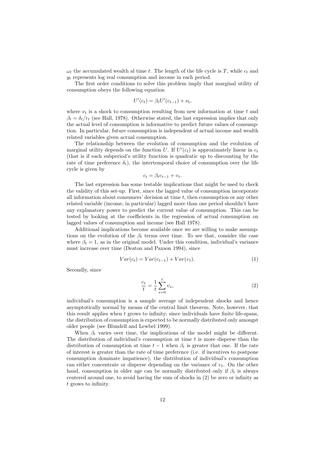$\omega_t$  the accumulated wealth al time t. The length of the life cycle is T, while  $c_t$  and  $y_t$  represents log real consumption and income in each period.

The first order conditions to solve this problem imply that marginal utility of consumption obeys the following equation

$$
U'(c_t) = \beta_t U'(c_{t-1}) + \nu_t,
$$

where  $\nu_t$  is a shock to consumption resulting from new information at time t and  $\beta_t = \delta_t/r_t$  (see Hall, 1978). Otherwise stated, the last expression implies that only the actual level of consumption is informative to predict future values of consumption. In particular, future consumption is independent of actual income and wealth related variables given actual consumption.

The relationship between the evolution of consumption and the evolution of marginal utility depends on the function U. If  $U'(c_t)$  is approximately linear in  $c_t$ (that is if each subperiod's utility function is quadratic up to discounting by the rate of time preference  $\delta_t$ ), the intertemporal choice of consumption over the life cycle is given by

$$
c_t = \beta_t c_{t-1} + v_t.
$$

The last expression has some testable implications that might be used to check the validity of this set-up. First, since the lagged value of consumption incorporate all information about consumers' decision at time  $t$ , then consumption or any other related variable (income, in particular) lagged more than one period shouldn't have any explanatory power to predict the current value of consumption. This can be tested by looking at the coefficients in the regression of actual consumption on lagged values of consumption and income (see Hall 1978).

Additional implications become available once we are willing to make assumptions on the evolution of the  $\beta_t$  terms over time. To see that, consider the case where  $\beta_t = 1$ , as in the original model. Under this condition, individual's variance must increase over time (Deaton and Paxson 1994), since

$$
Var(c_t) = Var(c_{t-1}) + Var(v_t).
$$
\n<sup>(1)</sup>

Secondly, since

$$
\frac{c_t}{t} = \frac{1}{t} \sum_{s=0}^t \upsilon_s,\tag{2}
$$

individual's consumption is a sample average of independent shocks and hence asymptotically normal by means of the central limit theorem. Note, however, that this result applies when  $t$  grows to infinity; since individuals have finite life-spans, the distribution of consumption is expected to be normally distributed only amongst older people (see Blundell and Lewbel 1999).

When  $\beta_t$  varies over time, the implications of the model might be different. The distribution of individual's consumption at time  $t$  is more disperse than the distribution of consumption at time  $t-1$  when  $\beta_t$  is greater that one. If the rate of interest is greater than the rate of time preference (i.e. if incentives to postpone consumption dominate impatience), the distribution of individual's consumption can either concentrate or disperse depending on the variance of  $v_t$ . On the other hand, consumption in older age can be normally distributed only if  $\beta_t$  is always centered around one, to avoid having the sum of shocks in (2) be zero or infinity as t grows to infinity.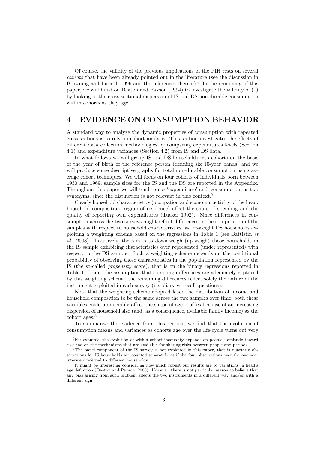Of course, the validity of the previous implications of the PIH rests on several *caveats* that have been already pointed out in the literature (see the discussion in Browning and Lusardi 1996 and the references therein).<sup>6</sup> In the remaining of this paper, we will build on Deaton and Paxson (1994) to investigate the validity of (1) by looking at the cross-sectional dispersion of IS and DS non-durable consumption within cohorts as they age.

## **4 EVIDENCE ON CONSUMPTION BEHAVIOR**

A standard way to analyze the dynamic properties of consumption with repeated cross-sections is to rely on cohort analysis. This section investigates the effects of different data collection methodologies by comparing expenditures levels (Section 4.1) and expenditure variances (Section 4.2) from IS and DS data.

In what follows we will group IS and DS households into cohorts on the basis of the year of birth of the reference person (defining six 10-year bands) and we will produce some descriptive graphs for total non-durable consumption using average cohort techniques. We will focus on four cohorts of individuals born between 1930 and 1969; sample sizes for the IS and the DS are reported in the Appendix. Throughout this paper we will tend to use 'expenditure' and 'consumption' as two synonyms, since the distinction is not relevant in this context.<sup>7</sup>

Clearly household characteristics (occupation and economic activity of the head, household composition, region of residence) affect the share of spending and the quality of reporting own expenditures (Tucker 1992). Since differences in consumption across the two surveys might reflect differences in the composition of the samples with respect to household characteristics, we re-weight DS households exploiting a weighting scheme based on the regressions in Table 1 (see Battistin *et al.* 2003). Intuitively, the aim is to down-weigh (up-weigh) those households in the IS sample exhibiting characteristics over represented (under represented) with respect to the DS sample. Such a weighting scheme depends on the conditional probability of observing those characteristics in the population represented by the IS (the so-called *propensity score*), that is on the binary regressions reported in Table 1. Under the assumption that sampling differences are adequately captured by this weighting scheme, the remaining differences reflect solely the nature of the instrument exploited in each survey (i.e. diary vs recall questions).

Note that the weighting scheme adopted leads the distribution of income and household composition to be the same across the two samples over time; both these variables could appreciably affect the shape of age profiles because of an increasing dispersion of household size (and, as a consequence, available family income) as the cohort ages.<sup>8</sup>

To summarize the evidence from this section, we find that the evolution of consumption means and variances as cohorts age over the life-cycle turns out very

 ${}^{6}$ For example, the evolution of within cohort inequality depends on people's attitude toward risk and on the mechanisms that are available for sharing risks between people and periods.

<sup>7</sup>The panel component of the IS survey is not exploited in this paper, that is quarterly observations for IS households are counted separately as if the four observations over the one year interview referred to different households.

<sup>8</sup>It might be interesting considering how much robust our results are to variations in head's age definition (Deaton and Paxson, 2000). However, there is not particular reason to believe that any bias arising from such problem affects the two instruments in a different way and/or with a different sign.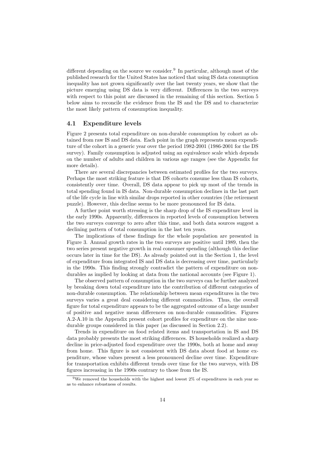different depending on the source we consider.<sup>9</sup> In particular, although most of the published research for the United States has noticed that using IS data consumption inequality has not grown significantly over the last twenty years, we show that the picture emerging using DS data is very different. Differences in the two surveys with respect to this point are discussed in the remaining of this section. Section 5 below aims to reconcile the evidence from the IS and the DS and to characterize the most likely pattern of consumption inequality.

#### **4.1 Expenditure levels**

Figure 2 presents total expenditure on non-durable consumption by cohort as obtained from raw IS and DS data. Each point in the graph represents mean expenditure of the cohort in a generic year over the period 1982-2001 (1986-2001 for the DS survey). Family consumption is adjusted using an equivalence scale which depends on the number of adults and children in various age ranges (see the Appendix for more details).

There are several discrepancies between estimated profiles for the two surveys. Perhaps the most striking feature is that DS cohorts consume less than IS cohorts, consistently over time. Overall, DS data appear to pick up most of the trends in total spending found in IS data. Non-durable consumption declines in the last part of the life cycle in line with similar drops reported in other countries (the retirement puzzle). However, this decline seems to be more pronounced for IS data.

A further point worth stressing is the sharp drop of the IS expenditure level in the early 1990s. Apparently, differences in reported levels of consumption between the two surveys converge to zero after this time, and both data sources suggest a declining pattern of total consumption in the last ten years.

The implications of these findings for the whole population are presented in Figure 3. Annual growth rates in the two surveys are positive until 1989, then the two series present negative growth in real consumer spending (although this decline occurs later in time for the DS). As already pointed out in the Section 1, the level of expenditure from integrated IS and DS data is decreasing over time, particularly in the 1990s. This finding strongly contradict the pattern of expenditure on nondurables as implied by looking at data from the national accounts (see Figure 1).

The observed pattern of consumption in the two surveys can be further analyzed by breaking down total expenditure into the contribution of different categories of non-durable consumption. The relationship between mean expenditures in the two surveys varies a great deal considering different commodities. Thus, the overall figure for total expenditure appears to be the aggregated outcome of a large number of positive and negative mean differences on non-durable commodities. Figures A.2-A.10 in the Appendix present cohort profiles for expenditure on the nine nondurable groups considered in this paper (as discussed in Section 2.2).

Trends in expenditure on food related items and transportation in IS and DS data probably presents the most striking differences. IS households realized a sharp decline in price-adjusted food expenditure over the 1990s, both at home and away from home. This figure is not consistent with DS data about food at home expenditure, whose values present a less pronounced decline over time. Expenditure for transportation exhibits different trends over time for the two surveys, with DS figures increasing in the 1990s contrary to those from the IS.

<sup>9</sup>We removed the households with the highest and lowest 2% of expenditures in each year so as to enhance robustness of results.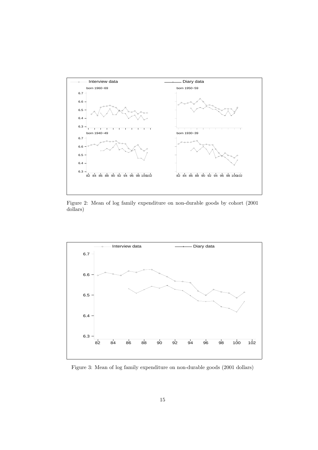

Figure 2: Mean of log family expenditure on non-durable goods by cohort (2001 dollars)



Figure 3: Mean of log family expenditure on non-durable goods (2001 dollars)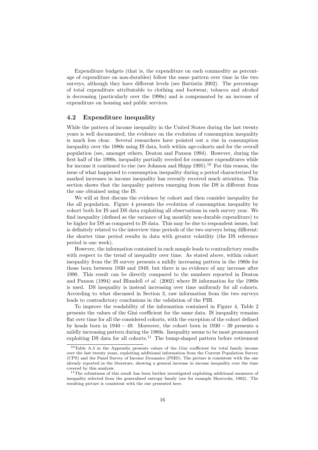Expenditure budgets (that is, the expenditure on each commodity as percentage of expenditure on non-durables) follow the same pattern over time in the two surveys, although they have different levels (see Battistin 2002). The percentage of total expenditure attributable to clothing and footwear, tobacco and alcohol is decreasing (particularly over the 1990s) and is compensated by an increase of expenditure on housing and public services.

#### **4.2 Expenditure inequality**

While the pattern of income inequality in the United States during the last twenty years is well documented, the evidence on the evolution of consumption inequality is much less clear. Several researchers have pointed out a rise in consumption inequality over the 1980s using IS data, both within age-cohorts and for the overall population (see, amongst others, Deaton and Paxson 1994). However, during the first half of the 1990s, inequality partially receded for consumer expenditures while for income it continued to rise (see Johnson and Shipp 1995).<sup>10</sup> For this reason, the issue of what happened to consumption inequality during a period characterized by marked increases in income inequality has recently received much attention. This section shows that the inequality pattern emerging from the DS is different from the one obtained using the IS.

We will at first discuss the evidence by cohort and then consider inequality for the all population. Figure 4 presents the evolution of consumption inequality by cohort both for IS and DS data exploiting all observations in each survey year. We find inequality (defined as the variance of log monthly non-durable expenditure) to be higher for DS as compared to IS data. This may be due to respondent issues, but is definitely related to the interview time periods of the two surveys being different: the shorter time period results in data with greater volatility (the DS reference period is one week).

However, the information contained in each sample leads to contradictory results with respect to the trend of inequality over time. As stated above, within cohort inequality from the IS survey presents a mildly increasing pattern in the 1980s for those born between 1930 and 1949, but there is no evidence of any increase after 1990. This result can be directly compared to the numbers reported in Deaton and Paxson (1994) and Blundell *et al.* (2002) where IS information for the 1980s is used. DS inequality is instead increasing over time uniformly for all cohorts. According to what discussed in Section 3, raw information from the two surveys leads to contradictory conclusions in the validation of the PIH.

To improve the readability of the information contained in Figure 4, Table 2 presents the values of the Gini coefficient for the same data. IS inequality remains flat over time for all the considered cohorts, with the exception of the cohort defined by heads born in  $1940 - 49$ . Moreover, the cohort born in  $1930 - 39$  presents a mildly increasing pattern during the 1980s. Inequality seems to be most pronounced exploiting DS data for all cohorts.<sup>11</sup> The bump-shaped pattern before retirement

 $10$ Table A.3 in the Appendix presents values of the Gini coefficient for total family income over the last twenty years, exploiting additional information from the Current Population Survey (CPS) and the Panel Survey of Income Dynamics (PSID). The picture is consistent with the one already reported in the literature, showing a general increase in income inequality over the time covered by this analysis.

 $11$ The robustness of this result has been further investigated exploiting additional measures of inequality selected from the generalized entropy family (see for example Shorrocks, 1982). The resulting picture is consistent with the one presented here.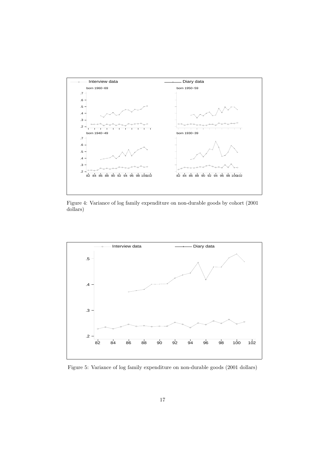

Figure 4: Variance of log family expenditure on non-durable goods by cohort (2001 dollars)



Figure 5: Variance of log family expenditure on non-durable goods (2001 dollars)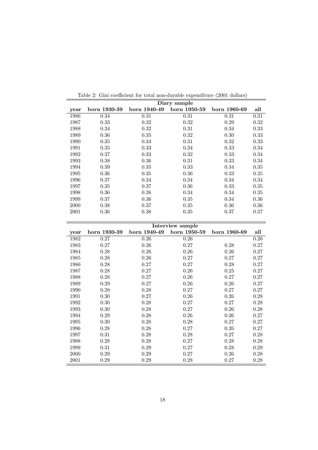|      | Diary sample |              |              |              |      |  |  |  |  |
|------|--------------|--------------|--------------|--------------|------|--|--|--|--|
| year | born 1930-39 | born 1940-49 | born 1950-59 | born 1960-69 | all  |  |  |  |  |
| 1986 | 0.34         | 0.31         | 0.31         | 0.31         | 0.31 |  |  |  |  |
| 1987 | 0.33         | 0.32         | 0.32         | 0.29         | 0.32 |  |  |  |  |
| 1988 | 0.34         | 0.32         | 0.31         | 0.34         | 0.33 |  |  |  |  |
| 1989 | 0.36         | 0.35         | 0.32         | 0.30         | 0.33 |  |  |  |  |
| 1990 | 0.35         | 0.34         | 0.31         | 0.32         | 0.33 |  |  |  |  |
| 1991 | 0.35         | 0.33         | 0.34         | 0.33         | 0.34 |  |  |  |  |
| 1992 | 0.37         | 0.33         | 0.32         | 0.33         | 0.34 |  |  |  |  |
| 1993 | 0.38         | 0.36         | 0.31         | 0.33         | 0.34 |  |  |  |  |
| 1994 | 0.39         | 0.35         | 0.33         | 0.34         | 0.35 |  |  |  |  |
| 1995 | 0.36         | 0.35         | 0.36         | 0.33         | 0.35 |  |  |  |  |
| 1996 | 0.37         | 0.34         | 0.34         | 0.34         | 0.34 |  |  |  |  |
| 1997 | 0.35         | 0.37         | 0.36         | 0.33         | 0.35 |  |  |  |  |
| 1998 | 0.36         | 0.38         | 0.34         | 0.34         | 0.35 |  |  |  |  |
| 1999 | 0.37         | 0.36         | 0.35         | 0.34         | 0.36 |  |  |  |  |
| 2000 | 0.38         | 0.37         | 0.35         | 0.36         | 0.36 |  |  |  |  |
| 2001 | 0.36         | 0.38         | 0.35         | 0.37         | 0.37 |  |  |  |  |

Table 2: Gini coefficient for total non-durable expenditure (2001 dollars)

|      | Interview sample |              |              |              |      |  |  |  |  |  |
|------|------------------|--------------|--------------|--------------|------|--|--|--|--|--|
| year | born 1930-39     | born 1940-49 | born 1950-59 | born 1960-69 | all  |  |  |  |  |  |
| 1982 | 0.27             | 0.26         | 0.26         |              | 0.26 |  |  |  |  |  |
| 1983 | 0.27             | 0.26         | 0.27         | 0.28         | 0.27 |  |  |  |  |  |
| 1984 | 0.28             | 0.26         | 0.26         | 0.26         | 0.27 |  |  |  |  |  |
| 1985 | 0.28             | 0.26         | 0.27         | 0.27         | 0.27 |  |  |  |  |  |
| 1986 | 0.28             | 0.27         | 0.27         | 0.28         | 0.27 |  |  |  |  |  |
| 1987 | 0.28             | 0.27         | 0.26         | 0.25         | 0.27 |  |  |  |  |  |
| 1988 | 0.28             | 0.27         | 0.26         | 0.27         | 0.27 |  |  |  |  |  |
| 1989 | 0.29             | 0.27         | 0.26         | 0.26         | 0.27 |  |  |  |  |  |
| 1990 | 0.28             | 0.28         | 0.27         | 0.27         | 0.27 |  |  |  |  |  |
| 1991 | 0.30             | 0.27         | 0.26         | 0.26         | 0.28 |  |  |  |  |  |
| 1992 | 0.30             | 0.28         | 0.27         | 0.27         | 0.28 |  |  |  |  |  |
| 1993 | 0.30             | 0.28         | 0.27         | 0.26         | 0.28 |  |  |  |  |  |
| 1994 | 0.29             | 0.28         | 0.26         | 0.26         | 0.27 |  |  |  |  |  |
| 1995 | 0.30             | 0.28         | 0.28         | 0.27         | 0.27 |  |  |  |  |  |
| 1996 | 0.28             | 0.28         | 0.27         | 0.26         | 0.27 |  |  |  |  |  |
| 1997 | 0.31             | 0.28         | 0.28         | 0.27         | 0.28 |  |  |  |  |  |
| 1998 | 0.28             | 0.28         | 0.27         | 0.28         | 0.28 |  |  |  |  |  |
| 1999 | 0.31             | 0.29         | 0.27         | 0.28         | 0.29 |  |  |  |  |  |
| 2000 | 0.29             | 0.29         | 0.27         | 0.26         | 0.28 |  |  |  |  |  |
| 2001 | 0.29             | 0.29         | 0.28         | 0.27         | 0.28 |  |  |  |  |  |

L,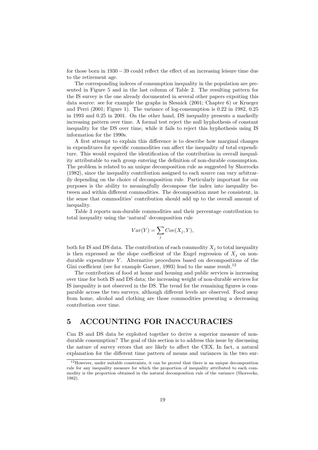for those born in  $1930 - 39$  could reflect the effect of an increasing leisure time due to the retirement age.

The corresponding indeces of consumption inequality in the population are presented in Figure 5 and in the last column of Table 2. The resulting pattern for the IS survey is the one already documented in several other papers expoiting this data source: see for example the graphs in Slesnick (2001; Chapter 6) or Krueger and Perri (2001; Figure 1). The variance of log-consumption is 0.22 in 1982, 0.25 in 1993 and 0.25 in 2001. On the other hand, DS inequality presents a markedly increasing pattern over time. A formal test reject the null hyphothesis of constant inequality for the DS over time, while it fails to reject this hyphothesis using IS information for the 1990s.

A first attempt to explain this difference is to describe how marginal changes in expenditures for specific commodities can affect the inequality of total expenditure. This would required the identification of the contribution in overall inequality attributable to each group entering the definition of non-durable consumption. The problem is related to an unique decomposition rule as suggested by Shorrocks (1982), since the inequality contribution assigned to each source can vary arbitrarily depending on the choice of decomposition rule. Particularly important for our purposes is the ability to meaningfully decompose the index into inequality between and within different commodities. The decomposition must be consistent, in the sense that commodities' contribution should add up to the overall amount of inequality.

Table 3 reports non-durable commodities and their percentage contribution to total inequality using the 'natural' decomposition rule

$$
Var(Y) = \sum_{j} Cov(X_j, Y),
$$

both for IS and DS data. The contribution of each commodity  $X_j$  to total inequality is then expressed as the slope coefficient of the Engel regression of  $X_j$  on nondurable expenditure  $Y$ . Alternative procedures based on decompositions of the Gini coefficient (see for example Garner, 1993) lead to the same result.<sup>12</sup>

The contribution of food at home and housing and public services is increasing over time for both IS and DS data; the increasing weight of non-durable services for IS inequality is not observed in the DS. The trend for the remaining figures is comparable across the two surveys, although different levels are observed. Food away from home, alcohol and clothing are those commodities presenting a decreasing contribution over time.

## **5 ACCOUNTING FOR INACCURACIES**

Can IS and DS data be exploited together to derive a superior measure of nondurable consumption? The goal of this section is to address this issue by discussing the nature of survey errors that are likely to affect the CEX. In fact, a natural explanation for the different time pattern of means and variances in the two sur-

 $12$ However, under suitable constraints, it can be proved that there is an unique decomposition rule for any inequality measure for which the proportion of inequality attributed to each commodity is the proportion obtained in the natural decomposition rule of the variance (Shorrocks, 1982).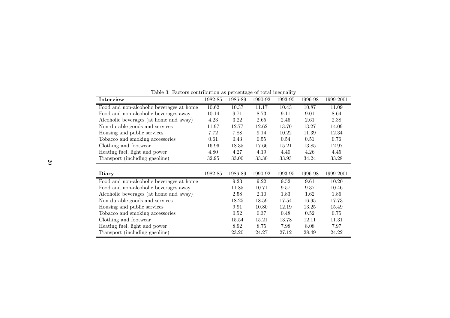| rasic of raccord condition as percentage or colar mequantity |         |         |         |         |         |           |  |  |  |
|--------------------------------------------------------------|---------|---------|---------|---------|---------|-----------|--|--|--|
| Interview                                                    | 1982-85 | 1986-89 | 1990-92 | 1993-95 | 1996-98 | 1999-2001 |  |  |  |
| Food and non-alcoholic beverages at home                     | 10.62   | 10.37   | 11.17   | 10.43   | 10.87   | 11.09     |  |  |  |
| Food and non-alcoholic beverages away                        | 10.14   | 9.71    | 8.73    | 9.11    | 9.01    | 8.64      |  |  |  |
| Alcoholic beverages (at home and away)                       | 4.23    | 3.22    | 2.65    | 2.46    | 2.61    | 2.38      |  |  |  |
| Non-durable goods and services                               | 11.97   | 12.77   | 12.62   | 13.70   | 13.27   | 14.09     |  |  |  |
| Housing and public services                                  | 7.72    | 7.88    | 9.14    | 10.22   | 11.39   | 12.34     |  |  |  |
| Tobacco and smoking accessories                              | 0.61    | 0.43    | 0.55    | 0.54    | 0.51    | 0.76      |  |  |  |
| Clothing and footwear                                        | 16.96   | 18.35   | 17.66   | 15.21   | 13.85   | 12.97     |  |  |  |
| Heating fuel, light and power                                | 4.80    | 4.27    | 4.19    | 4.40    | 4.26    | 4.45      |  |  |  |
| Transport (including gasoline)                               | 32.95   | 33.00   | 33.30   | 33.93   | 34.24   | 33.28     |  |  |  |

Table 3: Factors contribution as percentage of total inequality

| Diary                                    | 1982-85 | 1986-89 | 1990-92 | 1993-95 | 1996-98 | 1999-2001 |
|------------------------------------------|---------|---------|---------|---------|---------|-----------|
|                                          |         |         |         |         |         |           |
| Food and non-alcoholic beverages at home |         | 9.23    | 9.22    | 9.52    | 9.61    | 10.20     |
| Food and non-alcoholic beverages away    |         | 11.85   | 10.71   | 9.57    | 9.37    | 10.46     |
| Alcoholic beverages (at home and away)   |         | 2.58    | 2.10    | 1.83    | 1.62    | 1.86      |
| Non-durable goods and services           |         | 18.25   | 18.59   | 17.54   | 16.95   | 17.73     |
| Housing and public services              |         | 9.91    | 10.80   | 12.19   | 13.25   | 15.49     |
| Tobacco and smoking accessories          |         | 0.52    | 0.37    | 0.48    | 0.52    | 0.75      |
| Clothing and footwear                    |         | 15.54   | 15.21   | 13.78   | 12.11   | 11.31     |
| Heating fuel, light and power            |         | 8.92    | 8.75    | 7.98    | 8.08    | 7.97      |
| Transport (including gasoline)           |         | 23.20   | 24.27   | 27.12   | 28.49   | 24.22     |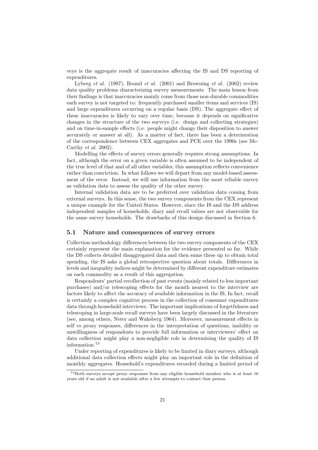veys is the aggregate result of inaccuracies affecting the IS and DS reporting of expenditures.

Lyberg *et al.* (1997), Bound *et al.* (2001) and Browning *et al.* (2002) review data quality problems characterizing survey measurements. The main lesson from their findings is that inaccuracies mainly come from those non-durable commodities each survey is not targeted to: frequently purchased smaller items and services (IS) and large expenditures occurring on a regular basis (DS). The aggregate effect of these inaccuracies is likely to vary over time, because it depends on significative changes in the structure of the two surveys (i.e. design and collecting strategies) and on time-in-sample effects (i.e. people might change their disposition to answer accurately or answer at all). As a matter of fact, there has been a deterioration of the correspondence between CEX aggregates and PCE over the 1990s (see Mc-Carthy *et al.* 2002).

Modelling the effects of survey errors generally requires strong assumptions. In fact, although the error on a given variable is often assumed to be independent of the true level of that and of all other variables, this assumption reflects convenience rather than conviction. In what follows we will depart from any model-based assessment of the error. Instead, we will use information from the most reliable survey as validation data to assess the quality of the other survey.

Internal validation data are to be preferred over validation data coming from external surveys. In this sense, the two survey components from the CEX represent a unique example for the United States. However, since the IS and the DS address independent samples of households, diary and recall values are not observable for the same survey households. The drawbacks of this design discussed in Section 6.

#### **5.1 Nature and consequences of survey errors**

Collection methodology differences between the two survey components of the CEX certainly represent the main explanation for the evidence presented so far. While the DS collects detailed disaggregated data and then sums these up to obtain total spending, the IS asks a global retrospective question about totals. Differences in levels and inequality indices might be determined by different expenditure estimates on each commodity as a result of this aggregation.

Respondents' partial recollection of past events (mainly related to less important purchases) and/or telescoping effects for the month nearest to the interview are factors likely to affect the accuracy of available information in the IS. In fact, recall is certainly a complex cognitive process in the collection of consumer expenditures data through household interviews. The important implications of forgetfulness and telescoping in large-scale recall surveys have been largely discussed in the literature (see, among others, Neter and Waksberg 1964). Moreover, measurement effects in self vs proxy responses, differences in the interpretation of questions, inability or unwillingness of respondents to provide full information or interviewers' effect on data collection might play a non-negligible role in determining the quality of IS information.<sup>13</sup>

Under reporting of expenditures is likely to be limited in diary surveys, although additional data collection effects might play an important role in the definition of monthly aggregates. Household's expenditures recorded during a limited period of

<sup>&</sup>lt;sup>13</sup>Both surveys accept proxy responses from any eligible household member who is at least 16 years old if an adult is not available after a few attempts to contact that person.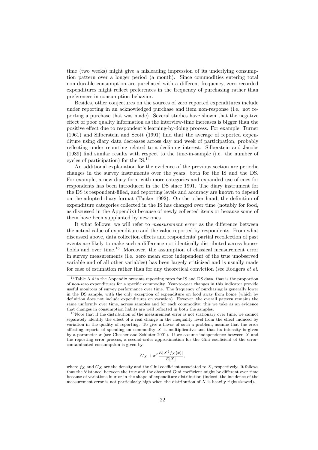time (two weeks) might give a misleading impression of its underlying consumption pattern over a longer period (a month). Since commodities entering total non-durable consumption are purchased with a different frequency, zero recorded expenditures might reflect preferences in the frequency of purchasing rather than preferences in consumption behavior.

Besides, other conjectures on the sources of zero reported expenditures include under reporting in an acknowledged purchase and item non-response (i.e. not reporting a purchase that was made). Several studies have shown that the negative effect of poor quality information as the interview-time increases is bigger than the positive effect due to respondent's learning-by-doing process. For example, Turner (1961) and Silberstein and Scott (1991) find that the average of reported expenditure using diary data decreases across day and week of participation, probably reflecting under reporting related to a declining interest. Silberstein and Jacobs (1989) find similar results with respect to the time-in-sample (i.e. the number of cycles of participation) for the IS.<sup>14</sup>

An additional explanation for the evidence of the previous section are periodic changes in the survey instruments over the years, both for the IS and the DS. For example, a new diary form with more categories and expanded use of cues for respondents has been introduced in the DS since 1991. The diary instrument for the DS is respondent-filled, and reporting levels and accuracy are known to depend on the adopted diary format (Tucker 1992). On the other hand, the definition of expenditure categories collected in the IS has changed over time (notably for food, as discussed in the Appendix) because of newly collected items or because some of them have been supplanted by new ones.

It what follows, we will refer to *measurement error* as the difference between the actual value of expenditure and the value reported by respondents. From what discussed above, data collection effects and respondents' partial recollection of past events are likely to make such a difference not identically distributed across households and over time.<sup>15</sup> Moreover, the assumption of classical measurement error in survey measurements (i.e. zero mean error independent of the true unobserved variable and of all other variables) has been largely criticized and is usually made for ease of estimation rather than for any theoretical conviction (see Rodgers *et al.*

$$
G_X + \sigma^2 \frac{E[X^2 f_X(x)]}{E[X]},
$$

<sup>14</sup>Table A.4 in the Appendix presents reporting rates for IS and DS data, that is the proportion of non-zero expenditures for a specific commodity. Year-to-year changes in this indicator provide useful monitors of survey performance over time. The frequency of purchasing is generally lower in the DS sample, with the only exception of expenditure on food away from home (which by definition does not include expenditures on vacation). However, the overall pattern remains the same uniformly over time, across samples and for each commodity; this we take as an evidence that changes in consumption habits are well reflected in both the samples.

<sup>&</sup>lt;sup>15</sup>Note that if the distribution of the measurement error is not stationary over time, we cannot separately identify the effect of a real change in the inequality level from the effect induced by variation in the quality of reporting. To give a flavor of such a problem, assume that the error affecting reports of spending on commodity  $X$  is multiplicative and that its intensity is given by a parameter  $\sigma$  (see Chesher and Schluter 2001). If we assume independence between X and the reporting error process, a second-order approximation for the Gini coefficient of the errorcontaminated consumption is given by

where  $f_X$  and  $G_X$  are the density and the Gini coefficient associated to X, respectively. It follows that the 'distance' between the true and the observed Gini coefficient might be different over time because of variations in  $\sigma$  or in the shape of expenditure distribution (indeed, the incidence of the measurement error is not particularly high when the distribution of  $X$  is heavily right skewed).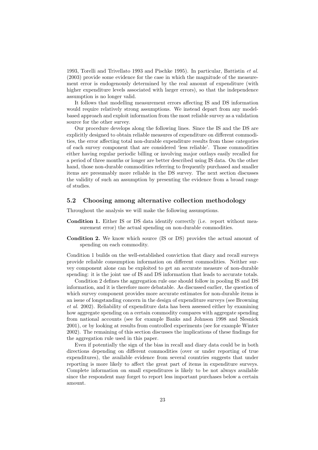1993, Torelli and Trivellato 1993 and Pischke 1995). In particular, Battistin *et al.* (2003) provide some evidence for the case in which the magnitude of the measurement error is endogenously determined by the real amount of expenditure (with higher expenditure levels associated with larger errors), so that the independence assumption is no longer valid.

It follows that modelling measurement errors affecting IS and DS information would require relatively strong assumptions. We instead depart from any modelbased approach and exploit information from the most reliable survey as a validation source for the other survey.

Our procedure develops along the following lines. Since the IS and the DS are explicitly designed to obtain reliable measures of expenditure on different commodities, the error affecting total non-durable expenditure results from those categories of each survey component that are considered 'less reliable'. Those commodities either having regular periodic billing or involving major outlays easily recalled for a period of three months or longer are better described using IS data. On the other hand, those non-durable commodities referring to frequently purchased and smaller items are presumably more reliable in the DS survey. The next section discusses the validity of such an assumption by presenting the evidence from a broad range of studies.

#### **5.2 Choosing among alternative collection methodology**

Throughout the analysis we will make the following assumptions.

- **Condition 1.** Either IS or DS data identify correctly (i.e. report without measurement error) the actual spending on non-durable commodities.
- **Condition 2.** We know which source (IS or DS) provides the actual amount of spending on each commodity.

Condition 1 builds on the well-established conviction that diary and recall surveys provide reliable consumption information on different commodities. Neither survey component alone can be exploited to get an accurate measure of non-durable spending: it is the joint use of IS and DS information that leads to accurate totals.

Condition 2 defines the aggregation rule one should follow in pooling IS and DS information, and it is therefore more debatable. As discussed earlier, the question of which survey component provides more accurate estimates for non-durable items is an issue of longstanding concern in the design of expenditure surveys (see Browning *et al.* 2002). Reliability of expenditure data has been assessed either by examining how aggregate spending on a certain commodity compares with aggregate spending from national accounts (see for example Banks and Johnson 1998 and Slesnick 2001), or by looking at results from controlled experiments (see for example Winter 2002). The remaining of this section discusses the implications of these findings for the aggregation rule used in this paper.

Even if potentially the sign of the bias in recall and diary data could be in both directions depending on different commodities (over or under reporting of true expenditures), the available evidence from several countries suggests that under reporting is more likely to affect the great part of items in expenditure surveys. Complete information on small expenditures is likely to be not always available since the respondent may forget to report less important purchases below a certain amount.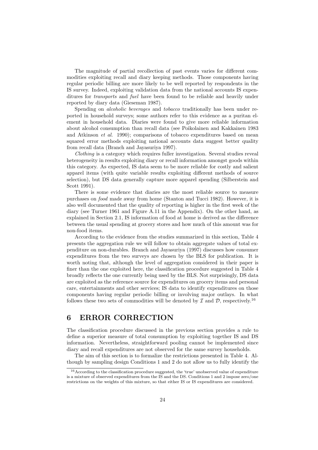The magnitude of partial recollection of past events varies for different commodities exploiting recall and diary keeping methods. Those components having regular periodic billing are more likely to be well reported by respondents in the IS survey. Indeed, exploiting validation data from the national accounts IS expenditures for *transports* and *fuel* have been found to be reliable and heavily under reported by diary data (Gieseman 1987).

Spending on *alcoholic beverages* and *tobacco* traditionally has been under reported in household surveys; some authors refer to this evidence as a puritan element in household data. Diaries were found to give more reliable information about alcohol consumption than recall data (see Poikolainen and Kakkainen 1983 and Atkinson *et al.* 1990); comparisons of tobacco expenditures based on mean squared error methods exploiting national accounts data suggest better quality from recall data (Branch and Jayasuriya 1997).

*Clothing* is a category which requires fuller investigation. Several studies reveal heterogeneity in results exploiting diary or recall information amongst goods within this category. As expected, IS data seem to be more reliable for costly and salient apparel items (with quite variable results exploiting different methods of source selection), but DS data generally capture more apparel spending (Silberstein and Scott 1991).

There is some evidence that diaries are the most reliable source to measure purchases on *food* made away from home (Stanton and Tucci 1982). However, it is also well documented that the quality of reporting is higher in the first week of the diary (see Turner 1961 and Figure A.11 in the Appendix). On the other hand, as explained in Section 2.1, IS information of food at home is derived as the difference between the usual spending at grocery stores and how much of this amount was for non-food items.

According to the evidence from the studies summarized in this section, Table 4 presents the aggregation rule we will follow to obtain aggregate values of total expenditure on non-durables. Branch and Jayasuriya (1997) discusses how consumer expenditures from the two surveys are chosen by the BLS for publication. It is worth noting that, although the level of aggregation considered in their paper is finer than the one exploited here, the classification procedure suggested in Table 4 broadly reflects the one currently being used by the BLS. Not surprisingly, DS data are exploited as the reference source for expenditures on grocery items and personal care, entertainments and other services; IS data to identify expenditures on those components having regular periodic billing or involving major outlays. In what follows these two sets of commodities will be denoted by  $\mathcal I$  and  $\mathcal D$ , respectively.<sup>16</sup>

## **6 ERROR CORRECTION**

The classification procedure discussed in the previous section provides a rule to define a superior measure of total consumption by exploiting together IS and DS information. Nevertheless, straightforward pooling cannot be implemented since diary and recall expenditures are not observed for the same survey households.

The aim of this section is to formalize the restrictions presented in Table 4. Although by sampling design Conditions 1 and 2 do not allow us to fully identify the

<sup>&</sup>lt;sup>16</sup> According to the classification procedure suggested, the 'true' unobserved value of expenditure is a mixture of observed expenditures from the IS and the DS. Conditions 1 and 2 impose zero/one restrictions on the weights of this mixture, so that either IS or IS expenditures are considered.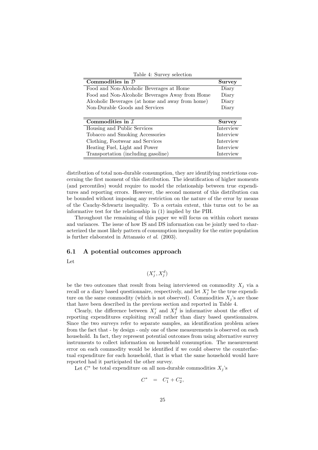Table 4: Survey selection

| Commodities in $D$                               | <b>Survey</b> |
|--------------------------------------------------|---------------|
| Food and Non-Alcoholic Beverages at Home         | Diary         |
| Food and Non-Alcoholic Beverages Away from Home  | Diary         |
| Alcoholic Beverages (at home and away from home) | Diary         |
| Non-Durable Goods and Services                   | Diary         |
|                                                  |               |
| Commodities in $\mathcal I$                      | <b>Survey</b> |
| Housing and Public Services                      | Interview     |
| Tobacco and Smoking Accessories                  | Interview     |
| Clothing, Footwear and Services                  | Interview     |
| Heating Fuel, Light and Power                    | Interview     |
| Transportation (including gasoline)              | Interview     |

distribution of total non-durable consumption, they are identifying restrictions concerning the first moment of this distribution. The identification of higher moments (and percentiles) would require to model the relationship between true expenditures and reporting errors. However, the second moment of this distribution can be bounded without imposing any restriction on the nature of the error by means of the Cauchy-Schwartz inequality. To a certain extent, this turns out to be an informative test for the relationship in (1) implied by the PIH.

Throughout the remaining of this paper we will focus on within cohort means and variances. The issue of how IS and DS information can be jointly used to characterized the most likely pattern of consumption inequality for the entire population is further elaborated in Attanasio *et al.* (2003).

#### **6.1 A potential outcomes approach**

Let

$$
(X_j^r, X_i^d)
$$

be the two outcomes that result from being interviewed on commodity  $X_i$  via a recall or a diary based questionnaire, respectively, and let  $X_i^*$  be the true expenditure on the same commodity (which is not observed). Commodities  $X_i$ 's are those that have been described in the previous section and reported in Table 4.

Clearly, the difference between  $X_i^r$  and  $X_i^d$  is informative about the effect of reporting expenditures exploiting recall rather than diary based questionnaires. Since the two surveys refer to separate samples, an identification problem arises from the fact that - by design - only one of these measurements is observed on each household. In fact, they represent potential outcomes from using alternative survey instruments to collect information on household consumption. The measurement error on each commodity would be identified if we could observe the counterfactual expenditure for each household, that is what the same household would have reported had it participated the other survey.

Let  $C^*$  be total expenditure on all non-durable commodities  $X_j$ 's

$$
C^* = C_1^* + C_2^*,
$$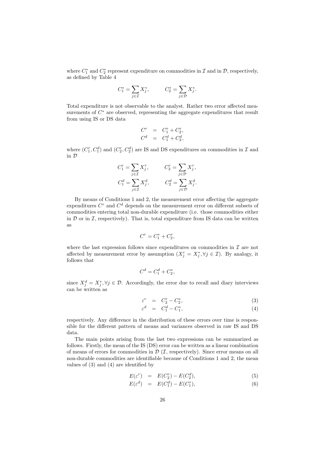where  $C_1^*$  and  $C_2^*$  represent expenditure on commodities in  $\mathcal I$  and in  $\mathcal D$ , respectively, as defined by Table 4

$$
C_1^* = \sum_{j \in \mathcal{I}} X_j^*, \qquad C_2^* = \sum_{j \in \mathcal{D}} X_j^*.
$$

Total expenditure is not observable to the analyst. Rather two error affected measurements of  $C^*$  are observed, representing the aggregate expenditures that result from using IS or DS data

$$
C^{r} = C_{1}^{r} + C_{2}^{r}, C^{d} = C_{1}^{d} + C_{2}^{d},
$$

where  $(C_1^r, C_1^d)$  and  $(C_2^r, C_2^d)$  are IS and DS expenditures on commodities in  $\mathcal I$  and in D

$$
C_1^r = \sum_{j \in \mathcal{I}} X_j^r, \qquad C_2^r = \sum_{j \in \mathcal{D}} X_j^r,
$$
  

$$
C_1^d = \sum_{j \in \mathcal{I}} X_j^d, \qquad C_2^d = \sum_{j \in \mathcal{D}} X_j^d.
$$

By means of Conditions 1 and 2, the measurement error affecting the aggregate expenditures  $C<sup>r</sup>$  and  $C<sup>d</sup>$  depends on the measurement error on different subsets of commodities entering total non-durable expenditure (i.e. those commodities either in  $D$  or in  $\mathcal{I}$ , respectively). That is, total expenditure from IS data can be written as

$$
C^r = C_1^* + C_2^r,
$$

where the last expression follows since expenditures on commodities in  $\mathcal I$  are not affected by measurement error by assumption  $(X_i^r = X_i^*, \forall j \in \mathcal{I})$ . By analogy, it follows that

$$
C^d = C_1^d + C_2^*, \quad
$$

since  $X_i^d = X_i^*, \forall j \in \mathcal{D}$ . Accordingly, the error due to recall and diary interviews can be written as

$$
\varepsilon^r = C_2^r - C_2^*, \tag{3}
$$

$$
\varepsilon^d = C_1^d - C_1^*,\tag{4}
$$

respectively. Any difference in the distribution of these errors over time is responsible for the different pattern of means and variances observed in raw IS and DS data.

The main points arising from the last two expressions can be summarized as follows. Firstly, the mean of the IS (DS) error can be written as a linear combination of means of errors for commodities in  $\mathcal{D}(\mathcal{I},$  respectively). Since error means on all non-durable commodities are identifiable because of Conditions 1 and 2, the mean values of (3) and (4) are identified by

$$
E(\varepsilon^r) = E(C_2^r) - E(C_2^d), \tag{5}
$$

$$
E(\varepsilon^d) = E(C_1^d) - E(C_1^r), \tag{6}
$$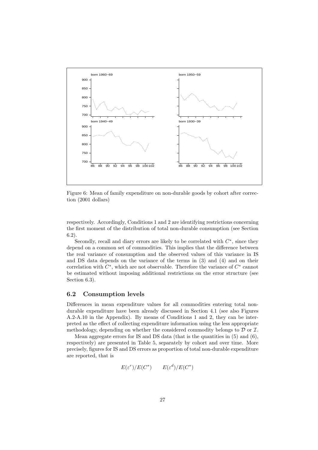

Figure 6: Mean of family expenditure on non-durable goods by cohort after correction (2001 dollars)

respectively. Accordingly, Conditions 1 and 2 are identifying restrictions concerning the first moment of the distribution of total non-durable consumption (see Section 6.2).

Secondly, recall and diary errors are likely to be correlated with  $C^*$ , since they depend on a common set of commodities. This implies that the difference between the real variance of consumption and the observed values of this variance in IS and DS data depends on the variance of the terms in (3) and (4) and on their correlation with  $C^*$ , which are not observable. Therefore the variance of  $C^*$  cannot be estimated without imposing additional restrictions on the error structure (see Section 6.3).

#### **6.2 Consumption levels**

Differences in mean expenditure values for all commodities entering total nondurable expenditure have been already discussed in Section 4.1 (see also Figures A.2-A.10 in the Appendix). By means of Conditions 1 and 2, they can be interpreted as the effect of collecting expenditure information using the less appropriate methodology, depending on whether the considered commodity belongs to  $D$  or  $\mathcal{I}$ .

Mean aggregate errors for IS and DS data (that is the quantities in  $(5)$  and  $(6)$ , respectively) are presented in Table 5, separately by cohort and over time. More precisely, figures for IS and DS errors as proportion of total non-durable expenditure are reported, that is

$$
E(\varepsilon^r)/E(C^*)\qquad E(\varepsilon^d)/E(C^*)
$$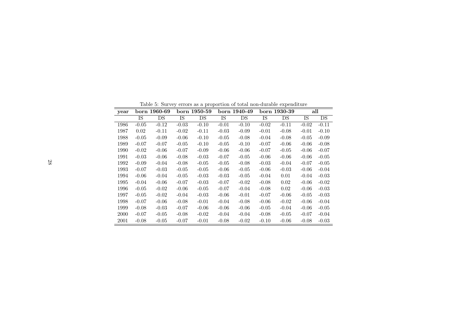| year |         | born 1960-69 |         | born 1950-59 |         | born 1940-49 |         | born 1930-39 |         | all     |
|------|---------|--------------|---------|--------------|---------|--------------|---------|--------------|---------|---------|
|      | IS      | DS           | IS      | DS           | IS      | DS           | IS      | DS           | IS      | DS      |
| 1986 | $-0.05$ | $-0.12$      | $-0.03$ | $-0.10$      | $-0.01$ | $-0.10$      | $-0.02$ | $-0.11$      | $-0.02$ | $-0.11$ |
| 1987 | 0.02    | $-0.11$      | $-0.02$ | $-0.11$      | $-0.03$ | $-0.09$      | $-0.01$ | $-0.08$      | $-0.01$ | $-0.10$ |
| 1988 | $-0.05$ | $-0.09$      | $-0.06$ | $-0.10$      | $-0.05$ | $-0.08$      | $-0.04$ | $-0.08$      | $-0.05$ | $-0.09$ |
| 1989 | $-0.07$ | $-0.07$      | $-0.05$ | $-0.10$      | $-0.05$ | $-0.10$      | $-0.07$ | $-0.06$      | $-0.06$ | $-0.08$ |
| 1990 | $-0.02$ | $-0.06$      | $-0.07$ | $-0.09$      | $-0.06$ | $-0.06$      | $-0.07$ | $-0.05$      | $-0.06$ | $-0.07$ |
| 1991 | $-0.03$ | $-0.06$      | $-0.08$ | $-0.03$      | $-0.07$ | $-0.05$      | $-0.06$ | $-0.06$      | $-0.06$ | $-0.05$ |
| 1992 | $-0.09$ | $-0.04$      | $-0.08$ | $-0.05$      | $-0.05$ | $-0.08$      | $-0.03$ | $-0.04$      | $-0.07$ | $-0.05$ |
| 1993 | $-0.07$ | $-0.03$      | $-0.05$ | $-0.05$      | $-0.06$ | $-0.05$      | $-0.06$ | $-0.03$      | $-0.06$ | $-0.04$ |
| 1994 | $-0.06$ | $-0.04$      | $-0.05$ | $-0.03$      | $-0.03$ | $-0.05$      | $-0.04$ | 0.01         | $-0.04$ | $-0.03$ |
| 1995 | $-0.04$ | $-0.06$      | $-0.07$ | $-0.03$      | $-0.07$ | $-0.02$      | $-0.08$ | 0.02         | $-0.06$ | $-0.02$ |
| 1996 | $-0.05$ | $-0.02$      | $-0.06$ | $-0.05$      | $-0.07$ | $-0.04$      | $-0.08$ | 0.02         | $-0.06$ | $-0.03$ |
| 1997 | $-0.05$ | $-0.02$      | $-0.04$ | $-0.03$      | $-0.06$ | $-0.01$      | $-0.07$ | $-0.06$      | $-0.05$ | $-0.03$ |
| 1998 | $-0.07$ | $-0.06$      | $-0.08$ | $-0.01$      | $-0.04$ | $-0.08$      | $-0.06$ | $-0.02$      | $-0.06$ | $-0.04$ |
| 1999 | $-0.08$ | $-0.03$      | $-0.07$ | $-0.06$      | $-0.06$ | $-0.06$      | $-0.05$ | $-0.04$      | $-0.06$ | $-0.05$ |
| 2000 | $-0.07$ | $-0.05$      | $-0.08$ | $-0.02$      | $-0.04$ | $-0.04$      | $-0.08$ | $-0.05$      | $-0.07$ | $-0.04$ |
| 2001 | $-0.08$ | $-0.05$      | $-0.07$ | $-0.01$      | $-0.08$ | $-0.02$      | $-0.10$ | $-0.06$      | $-0.08$ | $-0.03$ |

Table 5: Survey errors as <sup>a</sup> proportion of total non-durable expenditure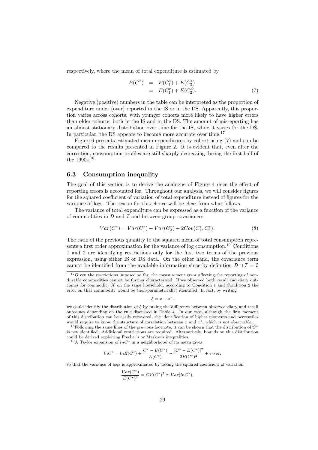respectively, where the mean of total expenditure is estimated by

$$
E(C^*) = E(C_1^*) + E(C_2^*)
$$
  
=  $E(C_1^r) + E(C_2^d)$ . (7)

Negative (positive) numbers in the table can be interpreted as the proportion of expenditure under (over) reported in the IS or in the DS. Apparently, this proportion varies across cohorts, with younger cohorts more likely to have higher errors than older cohorts, both in the IS and in the DS. The amount of misreporting has an almost stationary distribution over time for the IS, while it varies for the DS. In particular, the DS appears to become more accurate over time.<sup>17</sup>

Figure 6 presents estimated mean expenditures by cohort using (7) and can be compared to the results presented in Figure 2. It is evident that, even after the correction, consumption profiles are still sharply decreasing during the first half of the 1990s.<sup>18</sup>

#### **6.3 Consumption inequality**

The goal of this section is to derive the analogue of Figure 4 once the effect of reporting errors is accounted for. Throughout our analysis, we will consider figures for the squared coefficient of variation of total expenditure instead of figures for the variance of logs. The reason for this choice will be clear from what follows.

The variance of total expenditure can be expressed as a function of the variance of commodities in  $D$  and  $D$  and between-group covariances

$$
Var(C^*) = Var(C_1^*) + Var(C_2^*) + 2Cov(C_1^*, C_2^*).
$$
\n(8)

The ratio of the previous quantity to the squared mean of total consumption represents a first order approximation for the variance of log consumption.<sup>19</sup> Conditions 1 and 2 are identifying restrictions only for the first two terms of the previous expression, using either IS or DS data. On the other hand, the covariance term cannot be identified from the available information since by definition  $\mathcal{D} \cap \mathcal{I} = \emptyset$ 

 $\xi = x - x^*$ ,

we could identify the distribution of  $\xi$  by taking the difference between observed diary and recall outcomes depending on the rule discussed in Table 4. In our case, although the first moment of this distribution can be easily recovered, the identification of higher moments and percentiles would require to know the structure of correlation between  $x$  and  $x^*$ , which is not observable.

<sup>19</sup>A Taylor expansion of  $lnC^*$  in a neighborhood of its mean gives

$$
ln C^* = ln E(C^*) + \frac{C^* - E(C^*)}{E(C^*)} - \frac{[C^* - E(C^*)]^2}{2E(C^*)^2} + error,
$$

so that the variance of logs is approximated by taking the squared coefficient of variation

$$
\frac{Var(C^*)}{E(C^*)^2} = CV(C^*)^2 \simeq Var(lnC^*).
$$

 $17$ Given the restrictions imposed so far, the measurement error affecting the reporting of nondurable commodities cannot be further characterized. If we observed both recall and diary outcomes for commodity  $X$  on the same household, according to Condition 1 and Condition 2 the error on that commodity would be (non-parametrically) identified. In fact, by writing

<sup>&</sup>lt;sup>18</sup>Following the same lines of the previous footnote, it can be shown that the distribution of  $C^*$ is not identified. Additional restrictions are required. Alternatively, bounds on this distribution could be derived exploiting Frechet's or Markov's inequalities.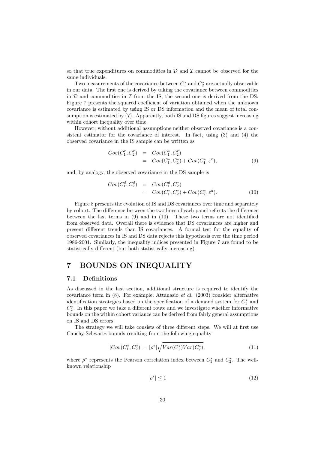so that true expenditures on commodities in  $\mathcal D$  and  $\mathcal I$  cannot be observed for the same individuals.

Two measurements of the covariance between  $C_1^*$  and  $C_2^*$  are actually observable in our data. The first one is derived by taking the covariance between commodities in  $D$  and commodities in  $I$  from the IS; the second one is derived from the DS. Figure 7 presents the squared coefficient of variation obtained when the unknown covariance is estimated by using IS or DS information and the mean of total consumption is estimated by (7). Apparently, both IS and DS figures suggest increasing within cohort inequality over time.

However, without additional assumptions neither observed covariance is a consistent estimator for the covariance of interest. In fact, using (3) and (4) the observed covariance in the IS sample can be written as

$$
Cov(C_1^r, C_2^r) = Cov(C_1^*, C_2^r)
$$
  
=  $Cov(C_1^*, C_2^*) + Cov(C_1^*, \varepsilon^r),$  (9)

and, by analogy, the observed covariance in the DS sample is

$$
Cov(C_1^d, C_2^d) = Cov(C_1^d, C_2^*)
$$
  
=  $Cov(C_1^*, C_2^*) + Cov(C_2^*, \varepsilon^d).$  (10)

Figure 8 presents the evolution of IS and DS covariances over time and separately by cohort. The difference between the two lines of each panel reflects the difference between the last terms in (9) and in (10). These two terms are not identified from observed data. Overall there is evidence that DS covariances are higher and present different trends than IS covariances. A formal test for the equality of observed covariances in IS and DS data rejects this hypothesis over the time period 1986-2001. Similarly, the inequality indices presented in Figure 7 are found to be statistically different (but both statistically increasing).

## **7 BOUNDS ON INEQUALITY**

#### **7.1 Definitions**

As discussed in the last section, additional structure is required to identify the covariance term in (8). For example, Attanasio *et al.* (2003) consider alternative identification strategies based on the specification of a demand system for  $C_1^*$  and  $C_2^*$ . In this paper we take a different route and we investigate whether informative bounds on the within cohort variance can be derived from fairly general assumptions on IS and DS errors.

The strategy we will take consists of three different steps. We will at first use Cauchy-Schwartz bounds resulting from the following equality

$$
|Cov(C_1^*, C_2^*)| = |\rho^*| \sqrt{Var(C_1^*)Var(C_2^*)},\tag{11}
$$

where  $\rho^*$  represents the Pearson correlation index between  $C_1^*$  and  $C_2^*$ . The wellknown relationship

$$
|\rho^*| \le 1\tag{12}
$$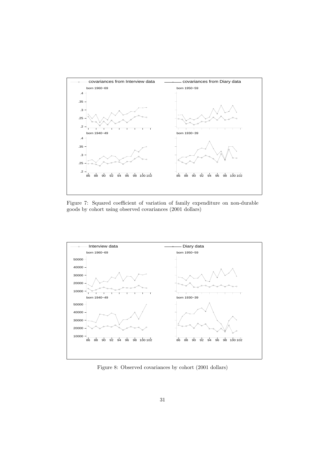

Figure 7: Squared coefficient of variation of family expenditure on non-durable goods by cohort using observed covariances (2001 dollars)



Figure 8: Observed covariances by cohort (2001 dollars)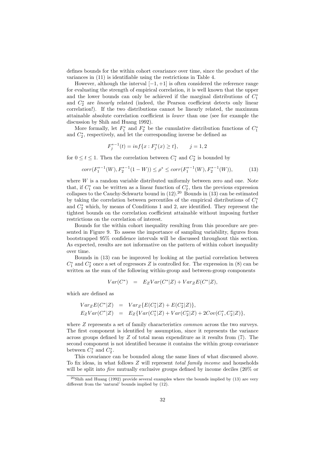defines bounds for the within cohort covariance over time, since the product of the variances in (11) is identifiable using the restrictions in Table 4.

However, although the interval  $[-1, +1]$  is often considered the reference range for evaluating the strength of empirical correlation, it is well known that the upper and the lower bounds can only be achieved if the marginal distributions of  $C_1^*$ and C<sup>∗</sup> <sup>2</sup> are *linearly* related (indeed, the Pearson coefficient detects only linear correlation!). If the two distributions cannot be linearly related, the maximum attainable absolute correlation coefficient is *lower* than one (see for example the discussion by Shih and Huang 1992).

More formally, let  $F_1^*$  and  $F_2^*$  be the cumulative distribution functions of  $C_1^*$ and  $C_2^*$ , respectively, and let the corresponding inverse be defined as

$$
F_j^{*-1}(t) = \inf\{x : F_j^*(x) \ge t\}, \qquad j = 1, 2
$$

for  $0 \le t \le 1$ . Then the correlation between  $C_1^*$  and  $C_2^*$  is bounded by

$$
corr(F_1^{*-1}(W), F_2^{*-1}(1 - W)) \le \rho^* \le corr(F_1^{*-1}(W), F_2^{*-1}(W)),\tag{13}
$$

where  $W$  is a random variable distributed uniformly between zero and one. Note that, if  $C_1^*$  can be written as a linear function of  $C_2^*$ , then the previous expression collapses to the Cauchy-Schwartz bound in  $(12).^{20}$  Bounds in  $(13)$  can be estimated by taking the correlation between percentiles of the empirical distributions of  $C_1^*$ and  $C_2^*$  which, by means of Conditions 1 and 2, are identified. They represent the tightest bounds on the correlation coefficient attainable without imposing further restrictions on the correlation of interest.

Bounds for the within cohort inequality resulting from this procedure are presented in Figure 9. To assess the importance of sampling variability, figures from bootstrapped 95% confidence intervals will be discussed throughout this section. As expected, results are not informative on the pattern of within cohort inequality over time.

Bounds in (13) can be improved by looking at the partial correlation between  $C_1^*$  and  $C_2^*$  once a set of regressors Z is controlled for. The expression in (8) can be written as the sum of the following within-group and between-group components

$$
Var(C^*) = E_ZVar(C^*|Z) + Var_ZE(C^*|Z),
$$

which are defined as

$$
Var_{Z}E(C^{*}|Z) = Var_{Z}\{E(C_{1}^{*}|Z) + E(C_{2}^{*}|Z)\},
$$
  
\n
$$
E_{Z}Var(C^{*}|Z) = E_{Z}\{Var(C_{1}^{*}|Z) + Var(C_{2}^{*}|Z) + 2Cov(C_{1}^{*}, C_{2}^{*}|Z)\},
$$

where Z represents a set of family characteristics *common* across the two surveys. The first component is identified by assumption, since it represents the variance across groups defined by  $Z$  of total mean expenditure as it results from  $(7)$ . The second component is not identified because it contains the within group covariance between  $C_1^*$  and  $C_2^*$ .

This covariance can be bounded along the same lines of what discussed above. To fix ideas, in what follows Z will represent *total family income* and households will be split into *five* mutually exclusive groups defined by income deciles (20% or

 $^{20}$ Shih and Huang (1992) provide several examples where the bounds implied by (13) are very different from the 'natural' bounds implied by (12).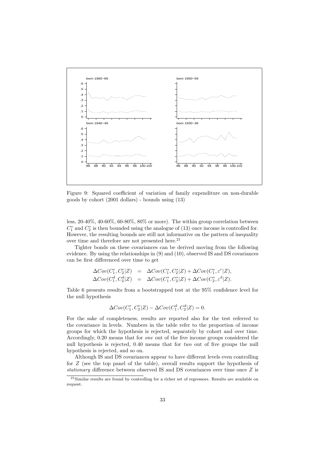

Figure 9: Squared coefficient of variation of family expenditure on non-durable goods by cohort (2001 dollars) - bounds using (13)

less, 20-40%, 40-60%, 60-80%, 80% or more). The within group correlation between  $C_1^*$  and  $C_2^*$  is then bounded using the analogue of (13) once income is controlled for. However, the resulting bounds are still not informative on the pattern of inequality over time and therefore are not presented here. $21$ 

Tighter bonds on these covariances can be derived moving from the following evidence. By using the relationships in (9) and (10), observed IS and DS covariances can be first differenced over time to get

$$
\Delta Cov(C_1^r, C_2^r | Z) = \Delta Cov(C_1^*, C_2^* | Z) + \Delta Cov(C_1^*, \varepsilon^r | Z),
$$
  
\n
$$
\Delta Cov(C_1^d, C_2^d | Z) = \Delta Cov(C_1^*, C_2^* | Z) + \Delta Cov(C_2^*, \varepsilon^d | Z).
$$

Table 6 presents results from a bootstrapped test at the 95% confidence level for the null hypothesis

$$
\Delta Cov(C_1^r, C_2^r | Z) - \Delta Cov(C_1^d, C_2^d | Z) = 0.
$$

For the sake of completeness, results are reported also for the test referred to the covariance in levels. Numbers in the table refer to the proportion of income groups for which the hypothesis is rejected, separately by cohort and over time. Accordingly, 0.20 means that for *one* out of the five income groups considered the null hypothesis is rejected, 0.40 means that for *two* out of five groups the null hypothesis is rejected, and so on.

Although IS and DS covariances appear to have different levels even controlling for Z (see the top panel of the table), overall results support the hypothesis of *stationary* difference between observed IS and DS covariances over time once Z is

<sup>&</sup>lt;sup>21</sup>Similar results are found by controlling for a richer set of regressors. Results are available on request.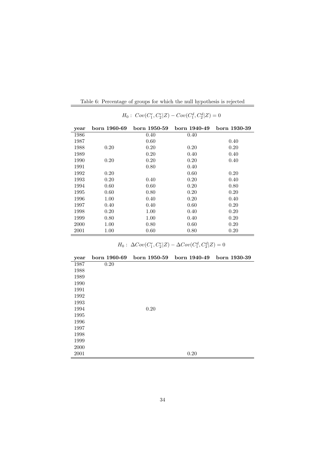| year | born 1960-69 | born 1950-59 | born 1940-49 | born 1930-39 |
|------|--------------|--------------|--------------|--------------|
| 1986 |              | 0.40         | 0.40         |              |
| 1987 |              | 0.60         |              | 0.40         |
| 1988 | 0.20         | 0.20         | 0.20         | 0.20         |
| 1989 |              | 0.20         | 0.40         | 0.40         |
| 1990 | 0.20         | 0.20         | 0.20         | 0.40         |
| 1991 |              | 0.80         | 0.40         |              |
| 1992 | 0.20         |              | 0.60         | 0.20         |
| 1993 | 0.20         | 0.40         | 0.20         | 0.40         |
| 1994 | 0.60         | 0.60         | 0.20         | 0.80         |
| 1995 | 0.60         | 0.80         | 0.20         | 0.20         |
| 1996 | 1.00         | 0.40         | 0.20         | 0.40         |
| 1997 | 0.40         | 0.40         | 0.60         | 0.20         |
| 1998 | 0.20         | 1.00         | 0.40         | 0.20         |
| 1999 | 0.80         | 1.00         | 0.40         | 0.20         |
| 2000 | 1.00         | 0.80         | 0.60         | 0.20         |
| 2001 | $1.00\,$     | 0.60         | 0.80         | 0.20         |

Table 6: Percentage of groups for which the null hypothesis is rejected

 $H_0: Cov(C_1^r, C_2^r | Z) - Cov(C_1^d, C_2^d | Z) = 0$ 

 $H_0: \ \Delta Cov(C_1^r, C_2^r | Z) - \Delta Cov(C_1^d, C_2^d | Z) = 0$ 

| year | born 1960-69 | born 1950-59 | born 1940-49 | born 1930-39 |
|------|--------------|--------------|--------------|--------------|
| 1987 | 0.20         |              |              |              |
| 1988 |              |              |              |              |
| 1989 |              |              |              |              |
| 1990 |              |              |              |              |
| 1991 |              |              |              |              |
| 1992 |              |              |              |              |
| 1993 |              |              |              |              |
| 1994 |              | 0.20         |              |              |
| 1995 |              |              |              |              |
| 1996 |              |              |              |              |
| 1997 |              |              |              |              |
| 1998 |              |              |              |              |
| 1999 |              |              |              |              |
| 2000 |              |              |              |              |
| 2001 |              |              | 0.20         |              |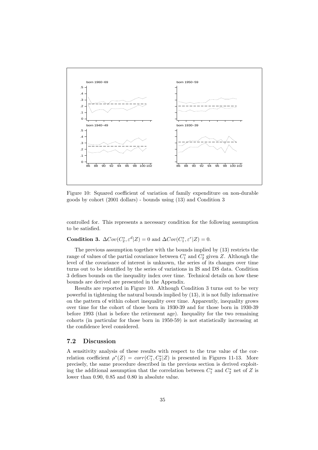

Figure 10: Squared coefficient of variation of family expenditure on non-durable goods by cohort (2001 dollars) - bounds using (13) and Condition 3

controlled for. This represents a necessary condition for the following assumption to be satisfied.

## **Condition 3.**  $\Delta Cov(C_2^*, \varepsilon^d | Z) = 0$  and  $\Delta Cov(C_1^*, \varepsilon^r | Z) = 0$ .

The previous assumption together with the bounds implied by (13) restricts the range of values of the partial covariance between  $C_1^*$  and  $C_2^*$  given Z. Although the level of the covariance of interest is unknown, the series of its changes over time turns out to be identified by the series of variations in IS and DS data. Condition 3 defines bounds on the inequality index over time. Technical details on how these bounds are derived are presented in the Appendix.

Results are reported in Figure 10. Although Condition 3 turns out to be very powerful in tightening the natural bounds implied by (13), it is not fully informative on the pattern of within cohort inequality over time. Apparently, inequality grows over time for the cohort of those born in 1930-39 and for those born in 1930-39 before 1993 (that is before the retirement age). Inequality for the two remaining cohorts (in particular for those born in 1950-59) is not statistically increasing at the confidence level considered.

#### **7.2 Discussion**

A sensitivity analysis of these results with respect to the true value of the correlation coefficient  $\rho^*(Z) = corr(C_1^*, C_2^*|Z)$  is presented in Figures 11-13. More precisely, the same procedure described in the previous section is derived exploiting the additional assumption that the correlation between  $C_1^*$  and  $C_2^*$  net of Z is lower than 0.90, 0.85 and 0.80 in absolute value.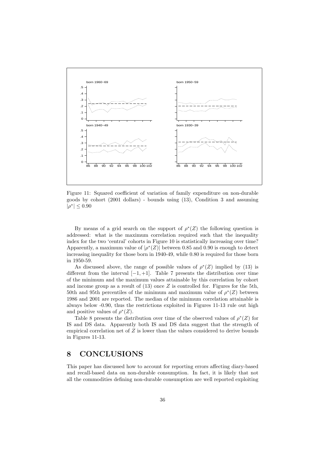

Figure 11: Squared coefficient of variation of family expenditure on non-durable goods by cohort (2001 dollars) - bounds using (13), Condition 3 and assuming  $|\rho^*| \leq 0.90$ 

By means of a grid search on the support of  $\rho^*(Z)$  the following question is addressed: what is the maximum correlation required such that the inequality index for the two 'central' cohorts in Figure 10 is statistically increasing over time? Apparently, a maximum value of  $|\rho^*(Z)|$  between 0.85 and 0.90 is enough to detect increasing inequality for those born in 1940-49, while 0.80 is required for those born in 1950-59.

As discussed above, the range of possible values of  $\rho^*(Z)$  implied by (13) is different from the interval  $[-1, +1]$ . Table 7 presents the distribution over time of the minimum and the maximum values attainable by this correlation by cohort and income group as a result of  $(13)$  once Z is controlled for. Figures for the 5th, 50th and 95th percentiles of the minimum and maximum value of  $\rho^*(Z)$  between 1986 and 2001 are reported. The median of the minimum correlation attainable is always below -0.90, thus the restrictions exploited in Figures 11-13 rule out high and positive values of  $\rho^*(Z)$ .

Table 8 presents the distribution over time of the observed values of  $\rho^*(Z)$  for IS and DS data. Apparently both IS and DS data suggest that the strength of empirical correlation net of  $Z$  is lower than the values considered to derive bounds in Figures 11-13.

## **8 CONCLUSIONS**

This paper has discussed how to account for reporting errors affecting diary-based and recall-based data on non-durable consumption. In fact, it is likely that not all the commodities defining non-durable consumption are well reported exploiting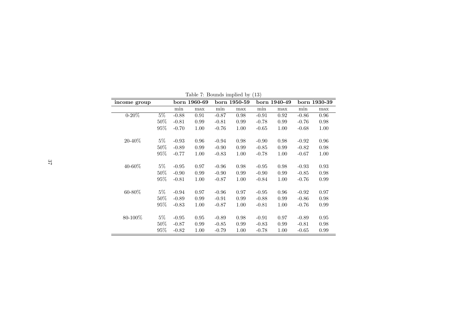| Lable 1. Doutiles implied by (19) |        |         |              |         |              |         |              |         |              |
|-----------------------------------|--------|---------|--------------|---------|--------------|---------|--------------|---------|--------------|
| income group                      |        |         | born 1960-69 |         | born 1950-59 |         | born 1940-49 |         | born 1930-39 |
|                                   |        | min     | max          | min     | max          | min     | max          | min     | max          |
| $0 - 20\%$                        | $5\%$  | $-0.88$ | 0.91         | $-0.87$ | 0.98         | $-0.91$ | 0.92         | $-0.86$ | 0.96         |
|                                   | $50\%$ | $-0.81$ | 0.99         | $-0.81$ | 0.99         | $-0.78$ | 0.99         | $-0.76$ | 0.98         |
|                                   | $95\%$ | $-0.70$ | 1.00         | $-0.76$ | 1.00         | $-0.65$ | 1.00         | $-0.68$ | 1.00         |
| $20 - 40\%$                       | $5\%$  | $-0.93$ | 0.96         | $-0.94$ | 0.98         | $-0.90$ | 0.98         | $-0.92$ | 0.96         |
|                                   | $50\%$ | $-0.89$ | 0.99         | $-0.90$ | 0.99         | $-0.85$ | 0.99         | $-0.82$ | 0.98         |
|                                   | 95%    | $-0.77$ | 1.00         | $-0.83$ | 1.00         | $-0.78$ | 1.00         | $-0.67$ | 1.00         |
| $40 - 60\%$                       | $5\%$  | $-0.95$ | 0.97         | $-0.96$ | 0.98         | $-0.95$ | 0.98         | $-0.93$ | 0.93         |
|                                   | $50\%$ | $-0.90$ | 0.99         | $-0.90$ | 0.99         | $-0.90$ | 0.99         | $-0.85$ | 0.98         |
|                                   | 95%    | $-0.81$ | 1.00         | $-0.87$ | 1.00         | $-0.84$ | 1.00         | $-0.76$ | 0.99         |
| $60 - 80\%$                       | $5\%$  | $-0.94$ | 0.97         | $-0.96$ | 0.97         | $-0.95$ | 0.96         | $-0.92$ | 0.97         |
|                                   | 50%    | $-0.89$ | 0.99         | $-0.91$ | 0.99         | $-0.88$ | 0.99         | $-0.86$ | 0.98         |
|                                   | $95\%$ | $-0.83$ | 1.00         | $-0.87$ | 1.00         | $-0.81$ | 1.00         | $-0.76$ | 0.99         |
| 80-100%                           | $5\%$  | $-0.95$ | 0.95         | $-0.89$ | 0.98         | $-0.91$ | 0.97         | $-0.89$ | 0.95         |
|                                   | 50%    | $-0.87$ | 0.99         | $-0.85$ | 0.99         | $-0.83$ | 0.99         | $-0.81$ | 0.98         |
|                                   | 95%    | $-0.82$ | 1.00         | $-0.79$ | 1.00         | $-0.78$ | 1.00         | $-0.65$ | 0.99         |

Table 7: Bounds implied by (13)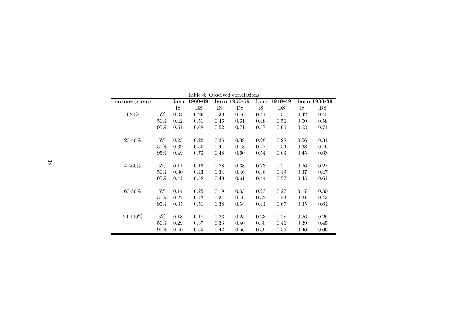| Table 8: Observed correlations |        |      |              |              |      |              |      |              |      |
|--------------------------------|--------|------|--------------|--------------|------|--------------|------|--------------|------|
| income group                   |        |      | born 1960-69 | born 1950-59 |      | born 1940-49 |      | born 1930-39 |      |
|                                |        | IS   | DS           | IS           | DS   | IS           | DS   | IS           | DS   |
| $0 - 20\%$                     | $5\%$  | 0.34 | 0.26         | 0.39         | 0.46 | 0.41         | 0.51 | 0.42         | 0.45 |
|                                | $50\%$ | 0.42 | 0.51         | 0.46         | 0.61 | 0.48         | 0.56 | 0.50         | 0.58 |
|                                | 95%    | 0.51 | 0.68         | 0.52         | 0.71 | 0.57         | 0.66 | 0.63         | 0.71 |
| $20 - 40\%$                    | $5\%$  | 0.23 | 0.22         | 0.35         | 0.39 | 0.28         | 0.28 | 0.26         | 0.31 |
|                                | 50%    | 0.39 | 0.50         | 0.44         | 0.48 | 0.42         | 0.53 | 0.38         | 0.46 |
|                                | 95%    | 0.49 | 0.73         | 0.48         | 0.60 | 0.54         | 0.63 | 0.45         | 0.68 |
| 40-60%                         | $5\%$  | 0.11 | 0.19         | 0.28         | 0.38 | 0.23         | 0.21 | 0.26         | 0.27 |
|                                | $50\%$ | 0.30 | 0.43         | 0.34         | 0.46 | 0.36         | 0.49 | 0.37         | 0.47 |
|                                | $95\%$ | 0.41 | 0.58         | 0.40         | 0.61 | 0.44         | 0.57 | 0.45         | 0.61 |
| 60-80%                         | $5\%$  | 0.14 | 0.25         | 0.19         | 0.33 | 0.23         | 0.27 | 0.17         | 0.30 |
|                                | 50%    | 0.27 | 0.42         | 0.34         | 0.46 | 0.32         | 0.43 | 0.31         | 0.43 |
|                                | $95\%$ | 0.35 | 0.51         | 0.38         | 0.58 | 0.44         | 0.67 | 0.35         | 0.64 |
| 80-100%                        | $5\%$  | 0.18 | 0.18         | 0.23         | 0.25 | 0.23         | 0.28 | 0.26         | 0.25 |
|                                | 50%    | 0.29 | 0.37         | 0.33         | 0.40 | 0.30         | 0.46 | 0.39         | 0.45 |
|                                | $95\%$ | 0.40 | 0.55         | 0.42         | 0.56 | 0.39         | 0.55 | 0.46         | 0.66 |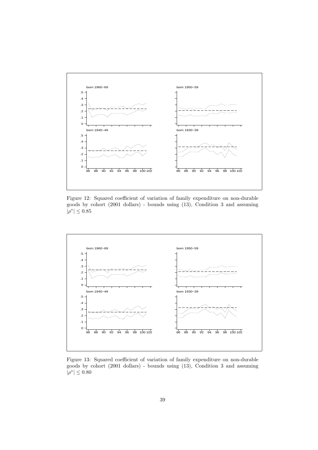

Figure 12: Squared coefficient of variation of family expenditure on non-durable goods by cohort (2001 dollars) - bounds using (13), Condition 3 and assuming  $|\rho^*| \leq 0.85$ 



Figure 13: Squared coefficient of variation of family expenditure on non-durable goods by cohort (2001 dollars) - bounds using (13), Condition 3 and assuming  $|\rho^*| \leq 0.80$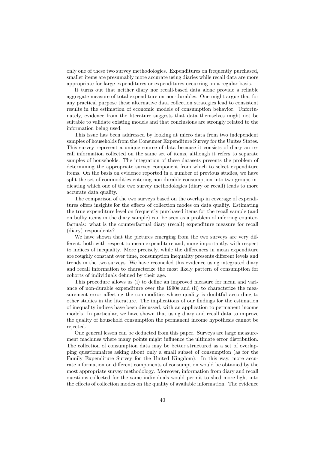only one of these two survey methodologies. Expenditures on frequently purchased, smaller items are presumably more accurate using diaries while recall data are more appropriate for large expenditures or expenditures occurring on a regular basis.

It turns out that neither diary nor recall-based data alone provide a reliable aggregate measure of total expenditure on non-durables. One might argue that for any practical purpose these alternative data collection strategies lead to consistent results in the estimation of economic models of consumption behavior. Unfortunately, evidence from the literature suggests that data themselves might not be suitable to validate existing models and that conclusions are strongly related to the information being used.

This issue has been addressed by looking at micro data from two independent samples of households from the Consumer Expenditure Survey for the Unites States. This survey represent a unique source of data because it consists of diary an recall information collected on the same set of items, although it refers to separate samples of households. The integration of these datasets presents the problem of determining the appropriate survey component from which to select expenditure items. On the basis on evidence reported in a number of previous studies, we have split the set of commodities entering non-durable consumption into two groups indicating which one of the two survey methodologies (diary or recall) leads to more accurate data quality.

The comparison of the two surveys based on the overlap in coverage of expenditures offers insights for the effects of collection modes on data quality. Estimating the true expenditure level on frequently purchased items for the recall sample (and on bulky items in the diary sample) can be seen as a problem of inferring counterfactuals: what is the counterfactual diary (recall) expenditure measure for recall (diary) respondents?

We have shown that the pictures emerging from the two surveys are very different, both with respect to mean expenditure and, more importantly, with respect to indices of inequality. More precisely, while the differences in mean expenditure are roughly constant over time, consumption inequality presents different levels and trends in the two surveys. We have reconciled this evidence using integrated diary and recall information to characterize the most likely pattern of consumption for cohorts of individuals defined by their age.

This procedure allows us (i) to define an improved measure for mean and variance of non-durable expenditure over the 1990s and (ii) to characterize the measurement error affecting the commodities whose quality is doubtful according to other studies in the literature. The implications of our findings for the estimation of inequality indices have been discussed, with an application to permanent income models. In particular, we have shown that using diary and recall data to improve the quality of household consumption the permanent income hypothesis cannot be rejected.

One general lesson can be deducted from this paper. Surveys are large measurement machines where many points might influence the ultimate error distribution. The collection of consumption data may be better structured as a set of overlapping questionnaires asking about only a small subset of consumption (as for the Family Expenditure Survey for the United Kingdom). In this way, more accurate information on different components of consumption would be obtained by the most appropriate survey methodology. Moreover, information from diary and recall questions collected for the same individuals would permit to shed more light into the effects of collection modes on the quality of available information. The evidence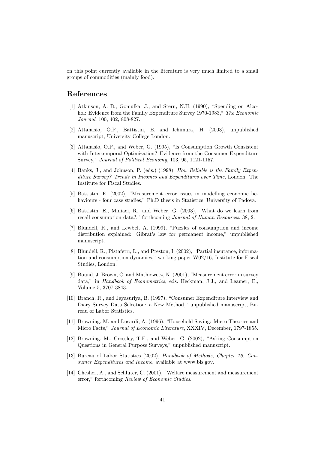on this point currently available in the literature is very much limited to a small groups of commodities (mainly food).

## **References**

- [1] Atkinson, A. B., Gomulka, J., and Stern, N.H. (1990), "Spending on Alcohol: Evidence from the Family Expenditure Survey 1970-1983," *The Economic Journal*, 100, 402, 808-827.
- [2] Attanasio, O.P., Battistin, E. and Ichimura, H. (2003), unpublished manuscript, University College London.
- [3] Attanasio, O.P., and Weber, G. (1995), "Is Consumption Growth Consistent with Intertemporal Optimization? Evidence from the Consumer Expenditure Survey," *Journal of Political Economy*, 103, 95, 1121-1157.
- [4] Banks, J., and Johnson, P. (eds.) (1998), *How Reliable is the Family Expenditure Survey? Trends in Incomes and Expenditures over Time*, London: The Institute for Fiscal Studies.
- [5] Battistin, E. (2002), "Measurement error issues in modelling economic behaviours - four case studies," Ph.D thesis in Statistics, University of Padova.
- [6] Battistin, E., Miniaci, R., and Weber, G. (2003), "What do we learn from recall consumption data?," forthcoming *Journal of Human Resources*, 38, 2.
- [7] Blundell, R., and Lewbel, A. (1999), "Puzzles of consumption and income distribution explained: Gibrat's law for permanent income," unpublished manuscript.
- [8] Blundell, R., Pistaferri, L., and Preston, I. (2002), "Partial insurance, information and consumption dynamics," working paper W02/16, Institute for Fiscal Studies, London.
- [9] Bound, J. Brown, C. and Mathiowetz, N. (2001), "Measurement error in survey data," in *Handbook of Econometrics*, eds. Heckman, J.J., and Leamer, E., Volume 5, 3707-3843.
- [10] Branch, R., and Jayasuriya, B. (1997), "Consumer Expenditure Interview and Diary Survey Data Selection: a New Method," unpublished manuscript, Bureau of Labor Statistics.
- [11] Browning, M. and Lusardi, A. (1996), "Household Saving: Micro Theories and Micro Facts," *Journal of Economic Literature*, XXXIV, December, 1797-1855.
- [12] Browning, M., Crossley, T.F., and Weber, G. (2002), "Asking Consumption Questions in General Purpose Surveys," unpublished manuscript.
- [13] Bureau of Labor Statistics (2002), *Handbookof Methods, Chapter 16, Consumer Expenditures and Income*, available at www.bls.gov.
- [14] Chesher, A., and Schluter, C. (2001), "Welfare measurement and measurement error," forthcoming *Review of Economic Studies*.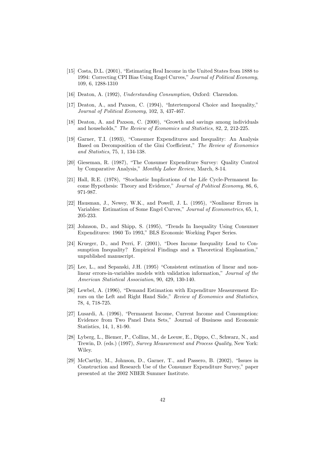- [15] Costa, D.L. (2001), "Estimating Real Income in the United States from 1888 to 1994: Correcting CPI Bias Using Engel Curves," *Journal of Political Economy*, 109, 6, 1288-1310
- [16] Deaton, A. (1992), *Understanding Consumption*, Oxford: Clarendon.
- [17] Deaton, A., and Paxson, C. (1994), "Intertemporal Choice and Inequality," *Journal of Political Economy*, 102, 3, 437-467.
- [18] Deaton, A. and Paxson, C. (2000), "Growth and savings among individuals and households," *The Review of Economics and Statistics*, 82, 2, 212-225.
- [19] Garner, T.I. (1993), "Consumer Expenditures and Inequality: An Analysis Based on Decomposition of the Gini Coefficient," *The Review of Economics and Statistics*, 75, 1, 134-138.
- [20] Gieseman, R. (1987), "The Consumer Expenditure Survey: Quality Control by Comparative Analysis," *Monthly Labor Review*, March, 8-14.
- [21] Hall, R.E. (1978), "Stochastic Implications of the Life Cycle-Permanent Income Hypothesis: Theory and Evidence," *Journal of Political Economy*, 86, 6, 971-987.
- [22] Hausman, J., Newey, W.K., and Powell, J. L. (1995), "Nonlinear Errors in Variables: Estimation of Some Engel Curves," *Journal of Econometrics*, 65, 1, 205-233.
- [23] Johnson, D., and Shipp, S. (1995), "Trends In Inequality Using Consumer Expenditures: 1960 To 1993," BLS Economic Working Paper Series.
- [24] Krueger, D., and Perri, F. (2001), "Does Income Inequality Lead to Consumption Inequality? Empirical Findings and a Theoretical Explanation," unpublished manuscript.
- [25] Lee, L., and Sepanski, J.H. (1995) "Consistent estimation of linear and nonlinear errors-in-variables models with validation information," *Journal of the American Statistical Association*, 90, 429, 130-140.
- [26] Lewbel, A. (1996), "Demand Estimation with Expenditure Measurement Errors on the Left and Right Hand Side," *Review of Economics and Statistics*, 78, 4, 718-725.
- [27] Lusardi, A. (1996), "Permanent Income, Current Income and Consumption: Evidence from Two Panel Data Sets," Journal of Business and Economic Statistics, 14, 1, 81-90.
- [28] Lyberg, L., Biemer, P., Collins, M., de Leeuw, E., Dippo, C., Schwarz, N., and Trewin, D. (eds.) (1997), *Survey Measurement and Process Quality*, New York: Wiley.
- [29] McCarthy, M., Johnson, D., Garner, T., and Passero, B. (2002), "Issues in Construction and Research Use of the Consumer Expenditure Survey," paper presented at the 2002 NBER Summer Institute.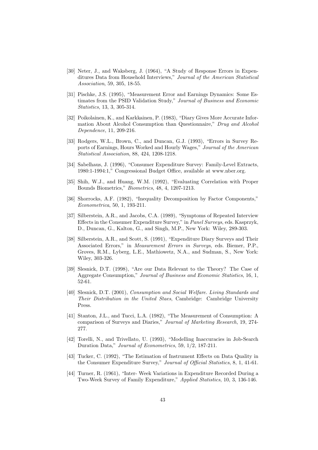- [30] Neter, J., and Waksberg, J. (1964), "A Study of Response Errors in Expenditures Data from Household Interviews," *Journal of the American Statistical Association*, 59, 305, 18-55.
- [31] Pischke, J.S. (1995), "Measurement Error and Earnings Dynamics: Some Estimates from the PSID Validation Study," *Journal of Business and Economic Statistics*, 13, 3, 305-314.
- [32] Poikolainen, K., and Karkkainen, P. (1983), "Diary Gives More Accurate Information About Alcohol Consumption than Questionnaire," *Drug and Alcohol Dependence*, 11, 209-216.
- [33] Rodgers, W.L., Brown, C., and Duncan, G.J. (1993), "Errors in Survey Reports of Earnings, Hours Worked and Hourly Wages," *Journal of the American Statistical Association*, 88, 424, 1208-1218.
- [34] Sabelhaus, J. (1996), "Consumer Expenditure Survey: Family-Level Extracts, 1980:1-1994:1," Congressional Budget Office, available at www.nber.org.
- [35] Shih, W.J., and Huang, W.M. (1992), "Evaluating Correlation with Proper Bounds Biometrics," *Biometrics*, 48, 4, 1207-1213.
- [36] Shorrocks, A.F. (1982), "Inequality Decomposition by Factor Components," *Econometrica*, 50, 1, 193-211.
- [37] Silberstein, A.R., and Jacobs, C.A. (1989), "Symptoms of Repeated Interview Effects in the Consumer Expenditure Survey," in *Panel Surveys*, eds. Kasprzyk, D., Duncan, G., Kalton, G., and Singh, M.P., New York: Wiley, 289-303.
- [38] Silberstein, A.R., and Scott, S. (1991), "Expenditure Diary Surveys and Their Associated Errors," in *Measurement Errors in Surveys*, eds. Biemer, P.P., Groves, R.M., Lyberg, L.E., Mathiowetz, N.A., and Sudman, S., New York: Wiley, 303-326.
- [39] Slesnick, D.T. (1998), "Are our Data Relevant to the Theory? The Case of Aggregate Consumption," *Journal of Business and Economic Statistics*, 16, 1, 52-61.
- [40] Slesnick, D.T. (2001), *Consumption and Social Welfare. Living Standards and Their Distribution in the United Staes*, Cambridge: Cambridge University Press.
- [41] Stanton, J.L., and Tucci, L.A. (1982), "The Measurement of Consumption: A comparison of Surveys and Diaries," *Journal of Marketing Research*, 19, 274- 277.
- [42] Torelli, N., and Trivellato, U. (1993), "Modelling Inaccuracies in Job-Search Duration Data," *Journal of Econometrics*, 59, 1/2, 187-211.
- [43] Tucker, C. (1992), "The Estimation of Instrument Effects on Data Quality in the Consumer Expenditure Survey," *Journal of Official Statistics*, 8, 1, 41-61.
- [44] Turner, R. (1961), "Inter- Week Variations in Expenditure Recorded During a Two-Week Survey of Family Expenditure," *Applied Statistics*, 10, 3, 136-146.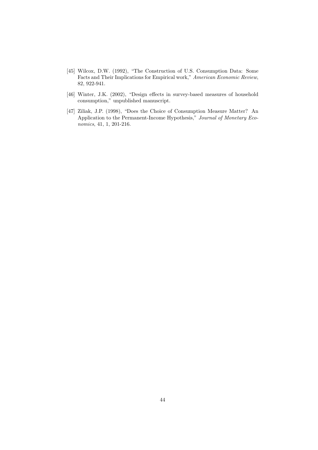- [45] Wilcox, D.W. (1992), "The Construction of U.S. Consumption Data: Some Facts and Their Implications for Empirical work," *American Economic Review*, 82, 922-941.
- [46] Winter, J.K. (2002), "Design effects in survey-based measures of household consumption," unpublished manuscript.
- [47] Ziliak, J.P. (1998), "Does the Choice of Consumption Measure Matter? An Application to the Permanent-Income Hypothesis," *Journal of Monetary Economics*, 41, 1, 201-216.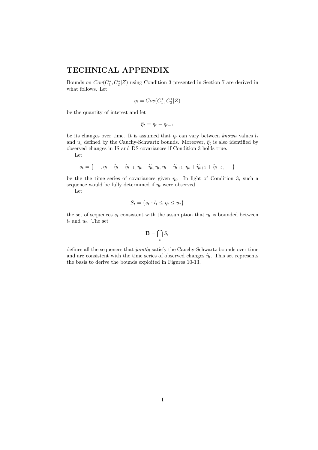## **TECHNICAL APPENDIX**

Bounds on  $Cov(C_1^*, C_2^* | Z)$  using Condition 3 presented in Section 7 are derived in what follows. Let

$$
\eta_t = Cov(C_1^*, C_2^* | Z)
$$

be the quantity of interest and let

 $\widetilde{\eta}_t = \eta_t - \eta_{t-1}$ 

be its changes over time. It is assumed that  $\eta_t$  can vary between *known* values  $l_t$ and  $u_t$  defined by the Cauchy-Schwartz bounds. Moreover,  $\widetilde{\eta}_t$  is also identified by observed changes in IS and DS covariances if Condition 3 holds true.

Let

$$
s_t = \{\ldots, \eta_t - \widetilde{\eta}_t - \widetilde{\eta}_{t-1}, \eta_t - \widetilde{\eta}_t, \eta_t, \eta_t + \widetilde{\eta}_{t+1}, \eta_t + \widetilde{\eta}_{t+1} + \widetilde{\eta}_{t+2}, \ldots\}
$$

be the time series of covariances given  $\eta_t$ . In light of Condition 3, such a sequence would be fully determined if  $\eta_t$  were observed.

Let

$$
S_t = \{s_t : l_t \leq \eta_t \leq u_t\}
$$

the set of sequences  $s_t$  consistent with the assumption that  $\eta_t$  is bounded between  $l_t$  and  $u_t$ . The set

$$
\mathbf{B} = \bigcap_t S_t
$$

defines all the sequences that *jointly* satisfy the Cauchy-Schwartz bounds over time and are consistent with the time series of observed changes  $\tilde{\eta}_t$ . This set represents the basis to derive the bounds exploited in Figures 10-13.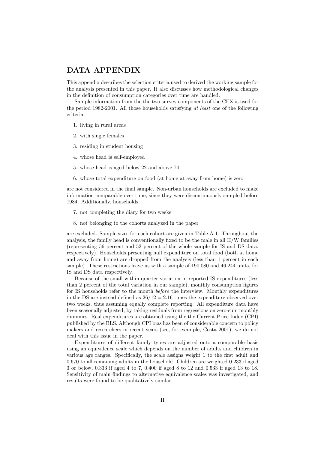## **DATA APPENDIX**

This appendix describes the selection criteria used to derived the working sample for the analysis presented in this paper. It also discusses how methodological changes in the definition of consumption categories over time are handled.

Sample information from the the two survey components of the CEX is used for the period 1982-2001. All those households satisfying *at least* one of the following criteria

- 1. living in rural areas
- 2. with single females
- 3. residing in student housing
- 4. whose head is self-employed
- 5. whose head is aged below 22 and above 74
- 6. whose total expenditure on food (at home at away from home) is zero

are not considered in the final sample. Non-urban households are excluded to make information comparable over time, since they were discontinuously sampled before 1984. Additionally, households

- 7. not completing the diary for two weeks
- 8. not belonging to the cohorts analyzed in the paper

are excluded. Sample sizes for each cohort are given in Table A.1. Throughout the analysis, the family head is conventionally fixed to be the male in all  $H/W$  families (representing 56 percent and 53 percent of the whole sample for IS and DS data, respectively). Households presenting null expenditure on total food (both at home and away from home) are dropped from the analysis (less than 1 percent in each sample). These restrictions leave us with a sample of 190.080 and 46.244 units, for IS and DS data respectively.

Because of the small within-quarter variation in reported IS expenditures (less than 2 percent of the total variation in our sample), monthly consumption figures for IS households refer to the month *before* the interview. Monthly expenditures in the DS are instead defined as  $26/12 = 2.16$  times the expenditure observed over two weeks, thus assuming equally complete reporting. All expenditure data have been seasonally adjusted, by taking residuals from regressions on zero-sum monthly dummies. Real expenditures are obtained using the the Current Price Index (CPI) published by the BLS. Although CPI bias has been of considerable concern to policy makers and researchers in recent years (see, for example, Costa 2001), we do not deal with this issue in the paper.

Expenditures of different family types are adjusted onto a comparable basis using an equivalence scale which depends on the number of adults and children in various age ranges. Specifically, the scale assigns weight 1 to the first adult and 0.670 to all remaining adults in the household. Children are weighted 0.233 if aged 3 or below, 0.333 if aged 4 to 7, 0.400 if aged 8 to 12 and 0.533 if aged 13 to 18. Sensitivity of main findings to alternative equivalence scales was investigated, and results were found to be qualitatively similar.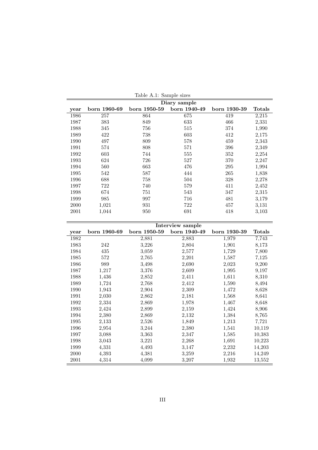|      | rabic <i>i</i> .i. bailipic sizcs |              |              |              |               |  |  |  |  |  |  |
|------|-----------------------------------|--------------|--------------|--------------|---------------|--|--|--|--|--|--|
|      | Diary sample                      |              |              |              |               |  |  |  |  |  |  |
| year | born 1960-69                      | born 1950-59 | born 1940-49 | born 1930-39 | <b>Totals</b> |  |  |  |  |  |  |
| 1986 | 257                               | 864          | 675          | 419          | 2,215         |  |  |  |  |  |  |
| 1987 | 383                               | 849          | 633          | 466          | 2,331         |  |  |  |  |  |  |
| 1988 | 345                               | 756          | 515          | 374          | 1,990         |  |  |  |  |  |  |
| 1989 | 422                               | 738          | 603          | 412          | 2,175         |  |  |  |  |  |  |
| 1990 | 497                               | 809          | 578          | 459          | 2,343         |  |  |  |  |  |  |
| 1991 | 574                               | 808          | 571          | 396          | 2,349         |  |  |  |  |  |  |
| 1992 | 603                               | 744          | 555          | 352          | 2,254         |  |  |  |  |  |  |
| 1993 | 624                               | 726          | 527          | 370          | 2,247         |  |  |  |  |  |  |
| 1994 | 560                               | 663          | 476          | 295          | 1,994         |  |  |  |  |  |  |
| 1995 | 542                               | 587          | 444          | 265          | 1,838         |  |  |  |  |  |  |
| 1996 | 688                               | 758          | 504          | 328          | 2,278         |  |  |  |  |  |  |
| 1997 | 722                               | 740          | 579          | 411          | 2,452         |  |  |  |  |  |  |
| 1998 | 674                               | 751          | 543          | 347          | 2,315         |  |  |  |  |  |  |
| 1999 | 985                               | 997          | 716          | 481          | 3,179         |  |  |  |  |  |  |
| 2000 | 1,021                             | 931          | 722          | 457          | 3,131         |  |  |  |  |  |  |
| 2001 | 1,044                             | 950          | 691          | 418          | 3,103         |  |  |  |  |  |  |
|      |                                   |              |              |              |               |  |  |  |  |  |  |

Table A.1: Sample sizes

|      |              | <b>Interview sample</b> |              |              |        |  |  |  |  |  |
|------|--------------|-------------------------|--------------|--------------|--------|--|--|--|--|--|
| year | born 1960-69 | born 1950-59            | born 1940-49 | born 1930-39 | Totals |  |  |  |  |  |
| 1982 |              | 2,881                   | 2,883        | 1,979        | 7,743  |  |  |  |  |  |
| 1983 | 242          | 3,226                   | 2,804        | 1,901        | 8,173  |  |  |  |  |  |
| 1984 | 435          | 3,059                   | 2,577        | 1,729        | 7,800  |  |  |  |  |  |
| 1985 | 572          | 2,765                   | 2,201        | 1,587        | 7,125  |  |  |  |  |  |
| 1986 | 989          | 3,498                   | 2,690        | 2,023        | 9,200  |  |  |  |  |  |
| 1987 | 1,217        | 3,376                   | 2,609        | 1,995        | 9,197  |  |  |  |  |  |
| 1988 | 1,436        | 2,852                   | 2,411        | 1,611        | 8,310  |  |  |  |  |  |
| 1989 | 1,724        | 2,768                   | 2,412        | 1,590        | 8,494  |  |  |  |  |  |
| 1990 | 1,943        | 2,904                   | 2,309        | 1,472        | 8,628  |  |  |  |  |  |
| 1991 | 2,030        | 2,862                   | 2,181        | 1,568        | 8,641  |  |  |  |  |  |
| 1992 | 2,334        | 2,869                   | 1,978        | 1,467        | 8,648  |  |  |  |  |  |
| 1993 | 2,424        | 2,899                   | 2,159        | 1,424        | 8,906  |  |  |  |  |  |
| 1994 | 2,380        | 2,869                   | 2,132        | 1,384        | 8,765  |  |  |  |  |  |
| 1995 | 2,133        | 2,526                   | 1,849        | 1,213        | 7,721  |  |  |  |  |  |
| 1996 | 2,954        | 3,244                   | 2,380        | 1,541        | 10,119 |  |  |  |  |  |
| 1997 | 3,088        | 3,363                   | 2,347        | 1,585        | 10,383 |  |  |  |  |  |
| 1998 | 3,043        | 3,221                   | 2,268        | 1,691        | 10,223 |  |  |  |  |  |
| 1999 | 4,331        | 4,493                   | 3,147        | 2,232        | 14,203 |  |  |  |  |  |
| 2000 | 4,393        | 4,381                   | 3,259        | 2,216        | 14,249 |  |  |  |  |  |
| 2001 | 4,314        | 4,099                   | 3,207        | 1,932        | 13,552 |  |  |  |  |  |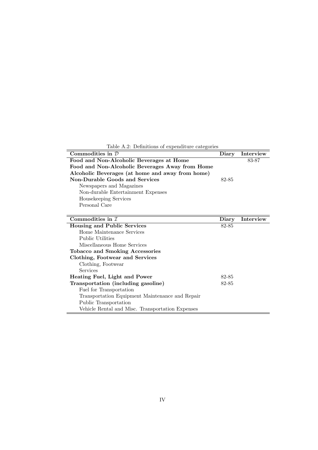**Commodities in**  $D$  **Diary Interview** Food and Non-Alcoholic Beverages at Home 83-87 **Food and Non-Alcoholic Beverages Away from Home Alcoholic Beverages (at home and away from home) Non-Durable Goods and Services** 82-85 Newspapers and Magazines Non-durable Entertainment Expenses Housekeeping Services Personal Care **Commodities in** I **Diary** Interview **Housing and Public Services** 82-85 Home Maintenance Services Public Utilities Miscellaneous Home Services **Tobacco and Smoking Accessories Clothing, Footwear and Services** Clothing, Footwear Services **Heating Fuel, Light and Power** 82-85 **Transportation (including gasoline)** 82-85 Fuel for Transportation Transportation Equipment Maintenance and Repair

Table A.2: Definitions of expenditure categories

Public Transportation

Vehicle Rental and Misc. Transportation Expenses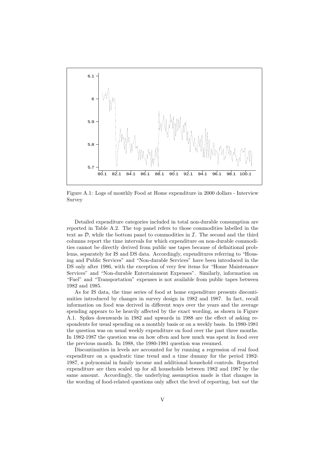

Figure A.1: Logs of monthly Food at Home expenditure in 2000 dollars - Interview Survey

Detailed expenditure categories included in total non-durable consumption are reported in Table A.2. The top panel refers to those commodities labelled in the text as  $\mathcal{D}$ , while the bottom panel to commodities in  $\mathcal{I}$ . The second and the third columns report the time intervals for which expenditure on non-durable commodities cannot be directly derived from public use tapes because of definitional problems, separately for IS and DS data. Accordingly, expenditures referring to "Housing and Public Services" and "Non-durable Services" have been introduced in the DS only after 1986, with the exception of very few items for "Home Maintenance Services" and "Non-durable Entertainment Expenses". Similarly, information on "Fuel" and "Transportation" expenses is not available from public tapes between 1982 and 1985.

As for IS data, the time series of food at home expenditure presents discontinuities introduced by changes in survey design in 1982 and 1987. In fact, recall information on food was derived in different ways over the years and the average spending appears to be heavily affected by the exact wording, as shown in Figure A.1. Spikes downwards in 1982 and upwards in 1988 are the effect of asking respondents for usual spending on a monthly basis or on a weekly basis. In 1980-1981 the question was on usual weekly expenditure on food over the past three months. In 1982-1987 the question was on how often and how much was spent in food over the previous month. In 1988, the 1980-1981 question was resumed.

Discontinuities in levels are accounted for by running a regression of real food expenditure on a quadratic time trend and a time dummy for the period 1982- 1987, a polynomial in family income and additional household controls. Reported expenditure are then scaled up for all households between 1982 and 1987 by the same amount. Accordingly, the underlying assumption made is that changes in the wording of food-related questions only affect the level of reporting, but *not* the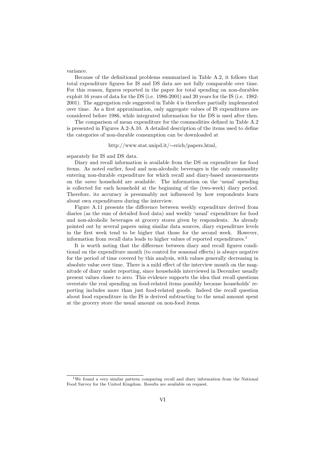variance.

Because of the definitional problems summarized in Table A.2, it follows that total expenditure figures for IS and DS data are not fully comparable over time. For this reason, figures reported in the paper for total spending on non-durables exploit 16 years of data for the DS (i.e. 1986-2001) and 20 years for the IS (i.e. 1982- 2001). The aggregation rule suggested in Table 4 is therefore partially implemented over time. As a first approximation, only aggregate values of IS expenditures are considered before 1986, while integrated information for the DS is used after then.

The comparison of mean expenditure for the commodities defined in Table A.2 is presented in Figures A.2-A.10. A detailed description of the items used to define the categories of non-durable consumption can be downloaded at

#### http://www.stat.unipd.it/∼erich/papers.html,

separately for IS and DS data.

Diary and recall information is available from the DS on expenditure for food items. As noted earlier, food and non-alcoholic beverages is the only commodity entering non-durable expenditure for which recall and diary-based measurements on the *same* household are available. The information on the 'usual' spending is collected for each household at the beginning of the (two-week) diary period. Therefore, its accuracy is presumably not influenced by how respondents learn about own expenditures during the interview.

Figure A.11 presents the difference between weekly expenditure derived from diaries (as the sum of detailed food data) and weekly 'usual' expenditure for food and non-alcoholic beverages at grocery stores given by respondents. As already pointed out by several papers using similar data sources, diary expenditure levels in the first week tend to be higher that those for the second week. However, information from recall data leads to higher values of reported expenditures.<sup>1</sup>

It is worth noting that the difference between diary and recall figures conditional on the expenditure month (to control for seasonal effects) is always negative for the period of time covered by this analysis, with values generally decreasing in absolute value over time. There is a mild effect of the interview month on the magnitude of diary under reporting, since households interviewed in December usually present values closer to zero. This evidence supports the idea that recall questions overstate the real spending on food-related items possibly because households' reporting includes more than just food-related goods. Indeed the recall question about food expenditure in the IS is derived subtracting to the usual amount spent at the grocery store the usual amount on non-food items.

<sup>&</sup>lt;sup>1</sup>We found a very similar pattern comparing recall and diary information from the National Food Survey for the United Kingdom. Results are available on request.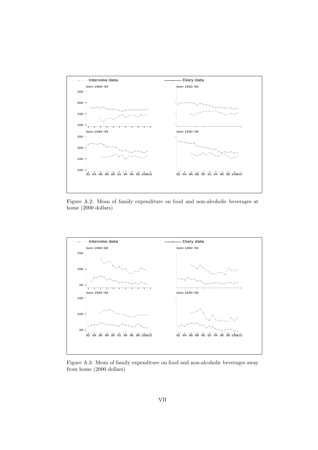

Figure A.2: Mean of family expenditure on food and non-alcoholic beverages at home (2000 dollars)



Figure A.3: Mean of family expenditure on food and non-alcoholic beverages away from home (2000 dollars)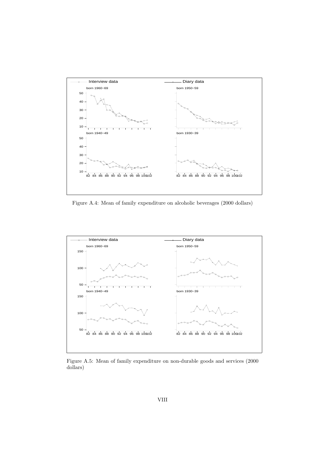

Figure A.4: Mean of family expenditure on alcoholic beverages (2000 dollars)



Figure A.5: Mean of family expenditure on non-durable goods and services (2000 dollars)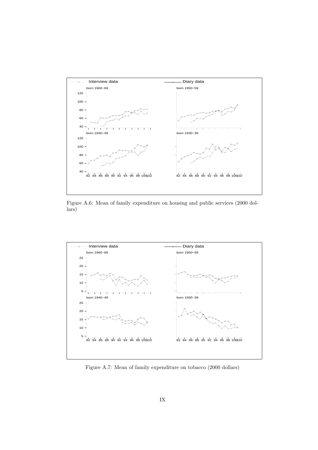

Figure A.6: Mean of family expenditure on housing and public services (2000 dollars)



Figure A.7: Mean of family expenditure on tobacco (2000 dollars)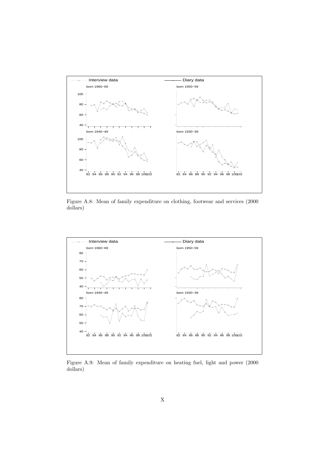

Figure A.8: Mean of family expenditure on clothing, footwear and services (2000 dollars)



Figure A.9: Mean of family expenditure on heating fuel, light and power (2000 dollars)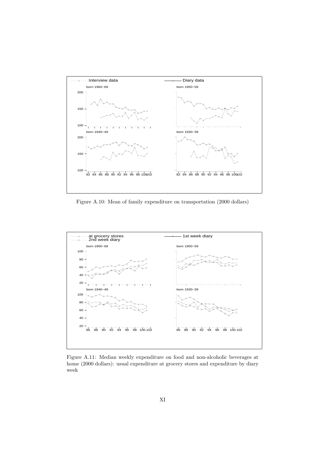

Figure A.10: Mean of family expenditure on transportation (2000 dollars)



Figure A.11: Median weekly expenditure on food and non-alcoholic beverages at home (2000 dollars): usual expenditure at grocery stores and expenditure by diary week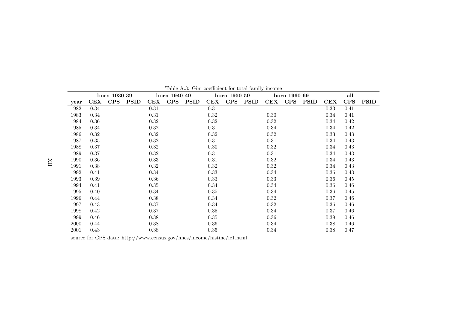|      | born 1930-39 |            |             | born 1940-49 |            | born 1950-59 |      |            | born 1960-69 |            |            |             | all  |          |             |
|------|--------------|------------|-------------|--------------|------------|--------------|------|------------|--------------|------------|------------|-------------|------|----------|-------------|
| year | CEX          | <b>CPS</b> | <b>PSID</b> | CEX          | <b>CPS</b> | <b>PSID</b>  | CEX  | <b>CPS</b> | <b>PSID</b>  | <b>CEX</b> | <b>CPS</b> | <b>PSID</b> | CEX  | CPS      | <b>PSID</b> |
| 1982 | 0.34         |            |             | 0.31         |            |              | 0.31 |            |              |            |            |             | 0.33 | 0.41     |             |
| 1983 | 0.34         |            |             | 0.31         |            |              | 0.32 |            |              | 0.30       |            |             | 0.34 | 0.41     |             |
| 1984 | 0.36         |            |             | 0.32         |            |              | 0.32 |            |              | 0.32       |            |             | 0.34 | 0.42     |             |
| 1985 | 0.34         |            |             | 0.32         |            |              | 0.31 |            |              | 0.34       |            |             | 0.34 | 0.42     |             |
| 1986 | 0.32         |            |             | 0.32         |            |              | 0.32 |            |              | 0.32       |            |             | 0.33 | 0.43     |             |
| 1987 | 0.35         |            |             | 0.32         |            |              | 0.31 |            |              | 0.31       |            |             | 0.34 | 0.43     |             |
| 1988 | 0.37         |            |             | 0.32         |            |              | 0.30 |            |              | 0.32       |            |             | 0.34 | 0.43     |             |
| 1989 | 0.37         |            |             | 0.32         |            |              | 0.31 |            |              | 0.31       |            |             | 0.34 | 0.43     |             |
| 1990 | 0.36         |            |             | 0.33         |            |              | 0.31 |            |              | 0.32       |            |             | 0.34 | 0.43     |             |
| 1991 | 0.38         |            |             | 0.32         |            |              | 0.32 |            |              | $\rm 0.32$ |            |             | 0.34 | 0.43     |             |
| 1992 | 0.41         |            |             | 0.34         |            |              | 0.33 |            |              | 0.34       |            |             | 0.36 | 0.43     |             |
| 1993 | 0.39         |            |             | 0.36         |            |              | 0.33 |            |              | 0.33       |            |             | 0.36 | $0.45\,$ |             |
| 1994 | 0.41         |            |             | 0.35         |            |              | 0.34 |            |              | 0.34       |            |             | 0.36 | 0.46     |             |
| 1995 | 0.40         |            |             | 0.34         |            |              | 0.35 |            |              | 0.34       |            |             | 0.36 | 0.45     |             |
| 1996 | 0.44         |            |             | 0.38         |            |              | 0.34 |            |              | 0.32       |            |             | 0.37 | $0.46\,$ |             |
| 1997 | 0.43         |            |             | 0.37         |            |              | 0.34 |            |              | 0.32       |            |             | 0.36 | $0.46\,$ |             |
| 1998 | 0.42         |            |             | 0.37         |            |              | 0.35 |            |              | 0.34       |            |             | 0.37 | 0.46     |             |
| 1999 | 0.46         |            |             | 0.38         |            |              | 0.35 |            |              | 0.36       |            |             | 0.39 | 0.46     |             |
| 2000 | 0.44         |            |             | 0.38         |            |              | 0.36 |            |              | 0.34       |            |             | 0.38 | 0.46     |             |
| 2001 | 0.43         |            |             | 0.38         |            |              | 0.35 |            |              | 0.34       |            |             | 0.38 | 0.47     |             |

Table A.3: Gini coefficient for total family income

source for CPS data: http://www.census.gov/hhes/income/histinc/ie1.html